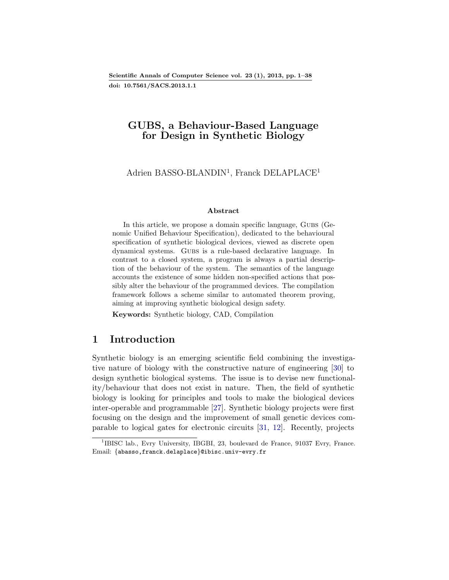Scientific Annals of Computer Science vol. 23 (1), 2013, pp. 1[–38](#page-37-0) doi: 10.7561/SACS.2013.1.1

### GUBS, a Behaviour-Based Language for Design in Synthetic Biology

Adrien BASSO-BLANDIN<sup>[1](#page-0-0)</sup>, Franck DELAPLACE<sup>1</sup>

#### Abstract

In this article, we propose a domain specific language, GUBS (Genomic Unified Behaviour Specification), dedicated to the behavioural specification of synthetic biological devices, viewed as discrete open dynamical systems. Gubs is a rule-based declarative language. In contrast to a closed system, a program is always a partial description of the behaviour of the system. The semantics of the language accounts the existence of some hidden non-specified actions that possibly alter the behaviour of the programmed devices. The compilation framework follows a scheme similar to automated theorem proving, aiming at improving synthetic biological design safety.

Keywords: Synthetic biology, CAD, Compilation

### 1 Introduction

Synthetic biology is an emerging scientific field combining the investigative nature of biology with the constructive nature of engineering [\[30\]](#page-36-0) to design synthetic biological systems. The issue is to devise new functionality/behaviour that does not exist in nature. Then, the field of synthetic biology is looking for principles and tools to make the biological devices inter-operable and programmable [\[27\]](#page-36-1). Synthetic biology projects were first focusing on the design and the improvement of small genetic devices comparable to logical gates for electronic circuits [\[31,](#page-36-2) [12\]](#page-34-0). Recently, projects

<span id="page-0-0"></span><sup>&</sup>lt;sup>1</sup>IBISC lab., Evry University, IBGBI, 23, boulevard de France, 91037 Evry, France. Email: {abasso,franck.delaplace}@ibisc.univ-evry.fr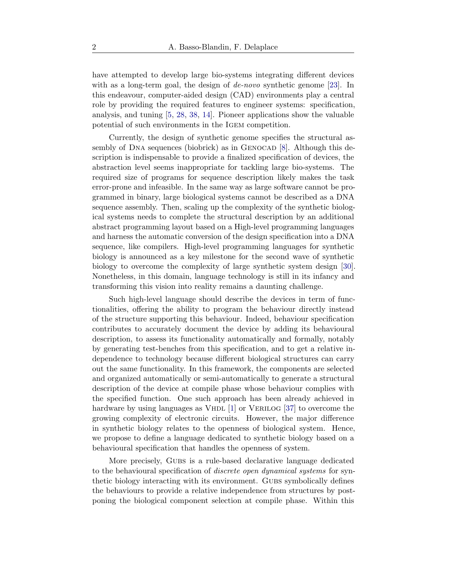have attempted to develop large bio-systems integrating different devices with as a long-term goal, the design of *de-novo* synthetic genome [\[23\]](#page-35-0). In this endeavour, computer-aided design (CAD) environments play a central role by providing the required features to engineer systems: specification, analysis, and tuning [\[5,](#page-33-0) [28,](#page-36-3) [38,](#page-37-2) [14\]](#page-34-1). Pioneer applications show the valuable potential of such environments in the Igem competition.

Currently, the design of synthetic genome specifies the structural assembly of DNA sequences (biobrick) as in GENOCAD  $[8]$ . Although this description is indispensable to provide a finalized specification of devices, the abstraction level seems inappropriate for tackling large bio-systems. The required size of programs for sequence description likely makes the task error-prone and infeasible. In the same way as large software cannot be programmed in binary, large biological systems cannot be described as a DNA sequence assembly. Then, scaling up the complexity of the synthetic biological systems needs to complete the structural description by an additional abstract programming layout based on a High-level programming languages and harness the automatic conversion of the design specification into a DNA sequence, like compilers. High-level programming languages for synthetic biology is announced as a key milestone for the second wave of synthetic biology to overcome the complexity of large synthetic system design [\[30\]](#page-36-0). Nonetheless, in this domain, language technology is still in its infancy and transforming this vision into reality remains a daunting challenge.

Such high-level language should describe the devices in term of functionalities, offering the ability to program the behaviour directly instead of the structure supporting this behaviour. Indeed, behaviour specification contributes to accurately document the device by adding its behavioural description, to assess its functionality automatically and formally, notably by generating test-benches from this specification, and to get a relative independence to technology because different biological structures can carry out the same functionality. In this framework, the components are selected and organized automatically or semi-automatically to generate a structural description of the device at compile phase whose behaviour complies with the specified function. One such approach has been already achieved in hardware by using languages as VHDL  $[1]$  or VERILOG  $[37]$  to overcome the growing complexity of electronic circuits. However, the major difference in synthetic biology relates to the openness of biological system. Hence, we propose to define a language dedicated to synthetic biology based on a behavioural specification that handles the openness of system.

More precisely, GUBS is a rule-based declarative language dedicated to the behavioural specification of *discrete open dynamical systems* for synthetic biology interacting with its environment. GUBS symbolically defines the behaviours to provide a relative independence from structures by postponing the biological component selection at compile phase. Within this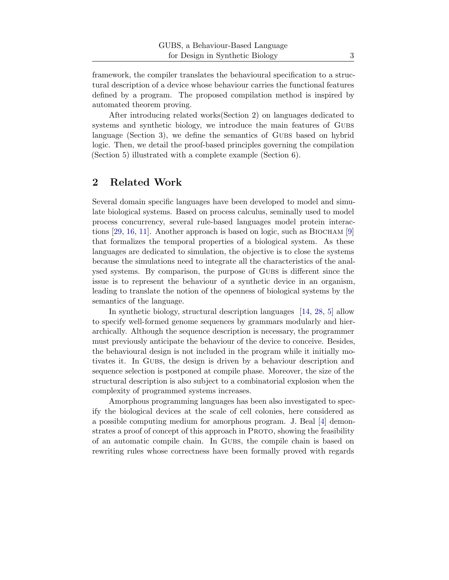framework, the compiler translates the behavioural specification to a structural description of a device whose behaviour carries the functional features defined by a program. The proposed compilation method is inspired by automated theorem proving.

After introducing related works(Section [2\)](#page-2-0) on languages dedicated to systems and synthetic biology, we introduce the main features of Gubs language (Section [3\)](#page-3-0), we define the semantics of GUBS based on hybrid logic. Then, we detail the proof-based principles governing the compilation (Section [5\)](#page-14-0) illustrated with a complete example (Section [6\)](#page-22-0).

# <span id="page-2-0"></span>2 Related Work

Several domain specific languages have been developed to model and simulate biological systems. Based on process calculus, seminally used to model process concurrency, several rule-based languages model protein interac-tions [\[29,](#page-36-4) [16,](#page-34-3) [11\]](#page-34-4). Another approach is based on logic, such as BIOCHAM [\[9\]](#page-34-5) that formalizes the temporal properties of a biological system. As these languages are dedicated to simulation, the objective is to close the systems because the simulations need to integrate all the characteristics of the analysed systems. By comparison, the purpose of Gubs is different since the issue is to represent the behaviour of a synthetic device in an organism, leading to translate the notion of the openness of biological systems by the semantics of the language.

In synthetic biology, structural description languages [\[14,](#page-34-1) [28,](#page-36-3) [5\]](#page-33-0) allow to specify well-formed genome sequences by grammars modularly and hierarchically. Although the sequence description is necessary, the programmer must previously anticipate the behaviour of the device to conceive. Besides, the behavioural design is not included in the program while it initially motivates it. In GUBS, the design is driven by a behaviour description and sequence selection is postponed at compile phase. Moreover, the size of the structural description is also subject to a combinatorial explosion when the complexity of programmed systems increases.

Amorphous programming languages has been also investigated to specify the biological devices at the scale of cell colonies, here considered as a possible computing medium for amorphous program. J. Beal [\[4\]](#page-33-2) demonstrates a proof of concept of this approach in PROTO, showing the feasibility of an automatic compile chain. In Gubs, the compile chain is based on rewriting rules whose correctness have been formally proved with regards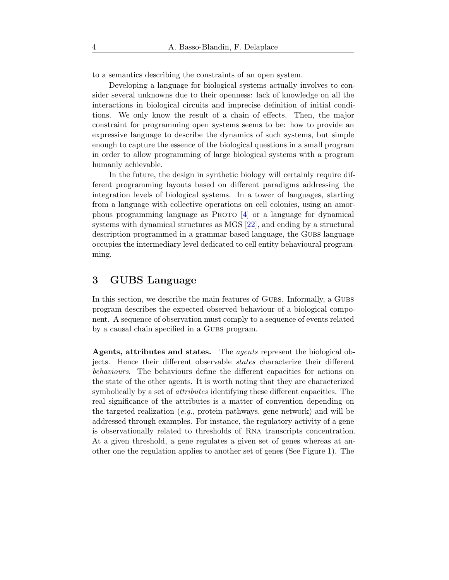to a semantics describing the constraints of an open system.

Developing a language for biological systems actually involves to consider several unknowns due to their openness: lack of knowledge on all the interactions in biological circuits and imprecise definition of initial conditions. We only know the result of a chain of effects. Then, the major constraint for programming open systems seems to be: how to provide an expressive language to describe the dynamics of such systems, but simple enough to capture the essence of the biological questions in a small program in order to allow programming of large biological systems with a program humanly achievable.

In the future, the design in synthetic biology will certainly require different programming layouts based on different paradigms addressing the integration levels of biological systems. In a tower of languages, starting from a language with collective operations on cell colonies, using an amorphous programming language as PROTO  $[4]$  or a language for dynamical systems with dynamical structures as MGS [\[22\]](#page-35-1), and ending by a structural description programmed in a grammar based language, the Gubs language occupies the intermediary level dedicated to cell entity behavioural programming.

# <span id="page-3-0"></span>3 GUBS Language

In this section, we describe the main features of Gubs. Informally, a Gubs. program describes the expected observed behaviour of a biological component. A sequence of observation must comply to a sequence of events related by a causal chain specified in a GUBS program.

Agents, attributes and states. The *agents* represent the biological objects. Hence their different observable *states* characterize their different *behaviours*. The behaviours define the different capacities for actions on the state of the other agents. It is worth noting that they are characterized symbolically by a set of *attributes* identifying these different capacities. The real significance of the attributes is a matter of convention depending on the targeted realization (*e.g.*, protein pathways, gene network) and will be addressed through examples. For instance, the regulatory activity of a gene is observationally related to thresholds of Rna transcripts concentration. At a given threshold, a gene regulates a given set of genes whereas at another one the regulation applies to another set of genes (See Figure [1\)](#page-8-0). The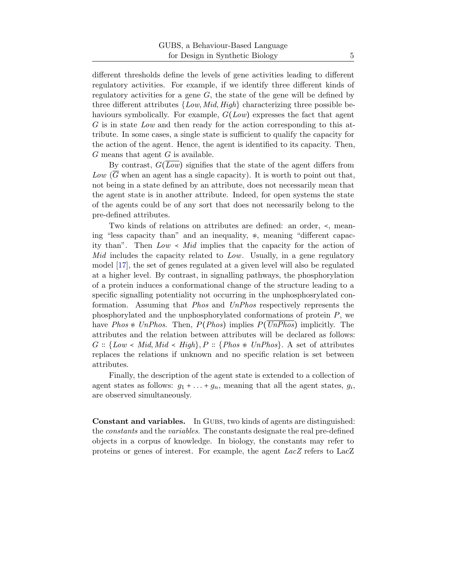different thresholds define the levels of gene activities leading to different regulatory activities. For example, if we identify three different kinds of regulatory activities for a gene  $G$ , the state of the gene will be defined by three different attributes {*Low*, *Mid*, *High*} characterizing three possible behaviours symbolically. For example, G(*Low*) expresses the fact that agent G is in state *Low* and then ready for the action corresponding to this attribute. In some cases, a single state is sufficient to qualify the capacity for the action of the agent. Hence, the agent is identified to its capacity. Then,  $G$  means that agent  $G$  is available.

By contrast,  $G(\overline{Low})$  signifies that the state of the agent differs from  $Low$  ( $\overline{G}$  when an agent has a single capacity). It is worth to point out that, not being in a state defined by an attribute, does not necessarily mean that the agent state is in another attribute. Indeed, for open systems the state of the agents could be of any sort that does not necessarily belong to the pre-defined attributes.

Two kinds of relations on attributes are defined: an order, ≺, meaning "less capacity than" and an inequality,  $\ast$ , meaning "different capacity than". Then *Low* ≺ *Mid* implies that the capacity for the action of *Mid* includes the capacity related to *Low*. Usually, in a gene regulatory model [\[17\]](#page-35-2), the set of genes regulated at a given level will also be regulated at a higher level. By contrast, in signalling pathways, the phosphorylation of a protein induces a conformational change of the structure leading to a specific signalling potentiality not occurring in the unphosphosrylated conformation. Assuming that *Phos* and *UnPhos* respectively represents the phosphorylated and the unphosphorylated conformations of protein  $P$ , we have *Phos* ≉ *UnPhos*. Then, P(*Phos*) implies P(*UnPhos*) implicitly. The attributes and the relation between attributes will be declared as follows:  $G :: \{Low < Mid, Mid < High\}, P :: \{Phos \neq UnPhos\}.$  A set of attributes replaces the relations if unknown and no specific relation is set between attributes.

Finally, the description of the agent state is extended to a collection of agent states as follows:  $g_1 + \ldots + g_n$ , meaning that all the agent states,  $g_i$ , are observed simultaneously.

**Constant and variables.** In GUBS, two kinds of agents are distinguished: the *constants* and the *variables*. The constants designate the real pre-defined objects in a corpus of knowledge. In biology, the constants may refer to proteins or genes of interest. For example, the agent *LacZ* refers to LacZ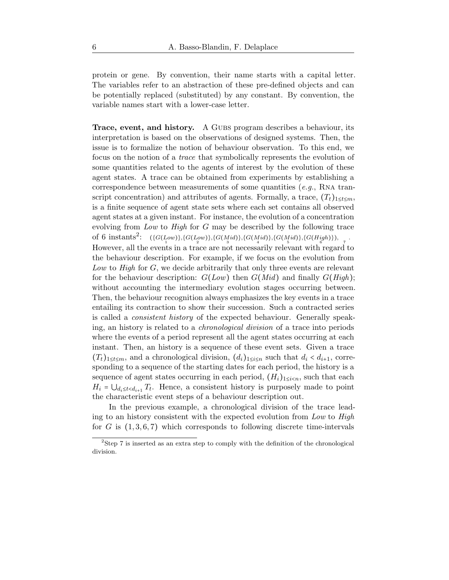protein or gene. By convention, their name starts with a capital letter. The variables refer to an abstraction of these pre-defined objects and can be potentially replaced (substituted) by any constant. By convention, the variable names start with a lower-case letter.

Trace, event, and history. A GUBS program describes a behaviour, its interpretation is based on the observations of designed systems. Then, the issue is to formalize the notion of behaviour observation. To this end, we focus on the notion of a *trace* that symbolically represents the evolution of some quantities related to the agents of interest by the evolution of these agent states. A trace can be obtained from experiments by establishing a correspondence between measurements of some quantities (*e.g.*, Rna transcript concentration) and attributes of agents. Formally, a trace,  $(T_t)_{1 \leq t \leq m}$ , is a finite sequence of agent state sets where each set contains all observed agent states at a given instant. For instance, the evolution of a concentration evolving from *Low* to *High* for G may be described by the following trace of 6 instants<sup>[2](#page-5-0)</sup>:  $({G(Low)},{G(Low)} ,{G(Mid)} ,{G(Mid)} ,{G(Mid)} ,{G(Mid)} ,{G(Hidb)} ,$ However, all the events in a trace are not necessarily relevant with regard to the behaviour description. For example, if we focus on the evolution from Low to High for G, we decide arbitrarily that only three events are relevant for the behaviour description: G(*Low*) then G(*Mid*) and finally G(*High*); without accounting the intermediary evolution stages occurring between. Then, the behaviour recognition always emphasizes the key events in a trace entailing its contraction to show their succession. Such a contracted series is called a *consistent history* of the expected behaviour. Generally speaking, an history is related to a *chronological division* of a trace into periods where the events of a period represent all the agent states occurring at each instant. Then, an history is a sequence of these event sets. Given a trace  $(T_t)_{1 \leq t \leq m}$ , and a chronological division,  $(d_i)_{1 \leq i \leq n}$  such that  $d_i < d_{i+1}$ , corresponding to a sequence of the starting dates for each period, the history is a sequence of agent states occurring in each period,  $(H_i)_{1 \leq i \leq n}$ , such that each  $H_i = \bigcup_{d_i \leq t < d_{i+1}} T_t$ . Hence, a consistent history is purposely made to point the characteristic event steps of a behaviour description out.

In the previous example, a chronological division of the trace leading to an history consistent with the expected evolution from *Low* to *High* for G is  $(1, 3, 6, 7)$  which corresponds to following discrete time-intervals

<span id="page-5-0"></span><sup>&</sup>lt;sup>2</sup>Step 7 is inserted as an extra step to comply with the definition of the chronological division.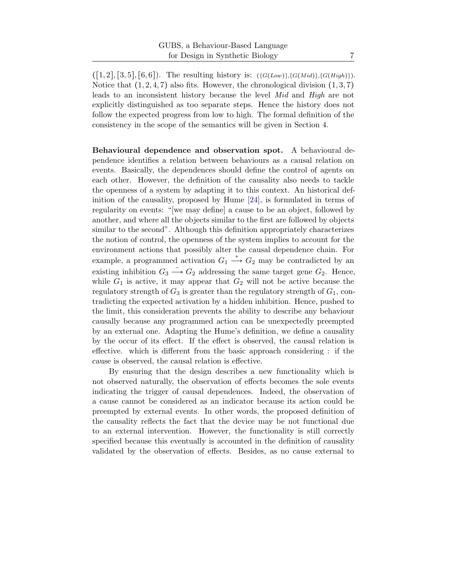$([1, 2], [3, 5], [6, 6])$ . The resulting history is:  $({G(Low)}, {G(Mid)}, {G(High)})$ . Notice that  $(1, 2, 4, 7)$  also fits. However, the chronological division  $(1, 3, 7)$ leads to an inconsistent history because the level *Mid* and *High* are not explicitly distinguished as too separate steps. Hence the history does not follow the expected progress from low to high. The formal definition of the consistency in the scope of the semantics will be given in Section [4.](#page-10-0)

Behavioural dependence and observation spot. A behavioural dependence identifies a relation between behaviours as a causal relation on events. Basically, the dependences should define the control of agents on each other. However, the definition of the causality also needs to tackle the openness of a system by adapting it to this context. An historical definition of the causality, proposed by Hume [\[24\]](#page-35-3), is formulated in terms of regularity on events: "[we may define] a cause to be an object, followed by another, and where all the objects similar to the first are followed by objects similar to the second". Although this definition appropriately characterizes the notion of control, the openness of the system implies to account for the environment actions that possibly alter the causal dependence chain. For example, a programmed activation  $G_1 \stackrel{+}{\longrightarrow} G_2$  may be contradicted by an existing inhibition  $G_3 \longrightarrow G_2$  addressing the same target gene  $G_2$ . Hence, while  $G_1$  is active, it may appear that  $G_2$  will not be active because the regulatory strength of  $G_3$  is greater than the regulatory strength of  $G_1$ , contradicting the expected activation by a hidden inhibition. Hence, pushed to the limit, this consideration prevents the ability to describe any behaviour causally because any programmed action can be unexpectedly preempted by an external one. Adapting the Hume's definition, we define a causality by the occur of its effect. If the effect is observed, the causal relation is effective. which is different from the basic approach considering : if the cause is observed, the causal relation is effective.

By ensuring that the design describes a new functionality which is not observed naturally, the observation of effects becomes the sole events indicating the trigger of causal dependences. Indeed, the observation of a cause cannot be considered as an indicator because its action could be preempted by external events. In other words, the proposed definition of the causality reflects the fact that the device may be not functional due to an external intervention. However, the functionality is still correctly specified because this eventually is accounted in the definition of causality validated by the observation of effects. Besides, as no cause external to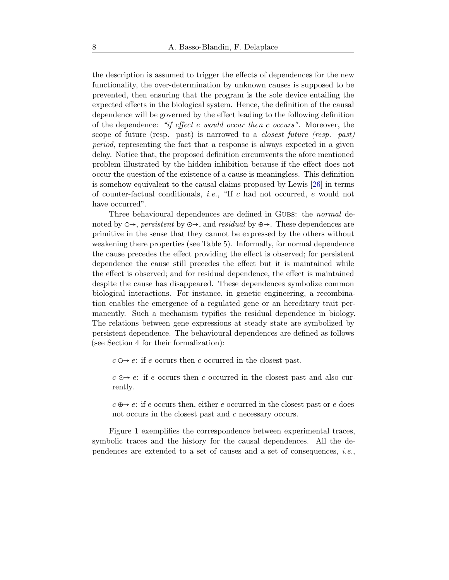the description is assumed to trigger the effects of dependences for the new functionality, the over-determination by unknown causes is supposed to be prevented, then ensuring that the program is the sole device entailing the expected effects in the biological system. Hence, the definition of the causal dependence will be governed by the effect leading to the following definition of the dependence: *"if effect* e *would occur then* c *occurs"*. Moreover, the scope of future (resp. past) is narrowed to a *closest future (resp. past) period*, representing the fact that a response is always expected in a given delay. Notice that, the proposed definition circumvents the afore mentioned problem illustrated by the hidden inhibition because if the effect does not occur the question of the existence of a cause is meaningless. This definition is somehow equivalent to the causal claims proposed by Lewis [\[26\]](#page-36-5) in terms of counter-factual conditionals, *i.e.*, "If c had not occurred, e would not have occurred".

Three behavioural dependences are defined in Gubs: the *normal* denoted by ◯→, *persistent* by ⊙→, and *residual* by ⊕→. These dependences are primitive in the sense that they cannot be expressed by the others without weakening there properties (see Table [5\)](#page-17-0). Informally, for normal dependence the cause precedes the effect providing the effect is observed; for persistent dependence the cause still precedes the effect but it is maintained while the effect is observed; and for residual dependence, the effect is maintained despite the cause has disappeared. These dependences symbolize common biological interactions. For instance, in genetic engineering, a recombination enables the emergence of a regulated gene or an hereditary trait permanently. Such a mechanism typifies the residual dependence in biology. The relations between gene expressions at steady state are symbolized by persistent dependence. The behavioural dependences are defined as follows (see Section [4](#page-10-0) for their formalization):

 $c \circ \rightarrow e$ : if e occurs then c occurred in the closest past.

 $c \odot \rightarrow e$ : if e occurs then c occurred in the closest past and also currently.

 $c \oplus \rightarrow e$ : if e occurs then, either e occurred in the closest past or e does not occurs in the closest past and c necessary occurs.

Figure [1](#page-8-0) exemplifies the correspondence between experimental traces, symbolic traces and the history for the causal dependences. All the dependences are extended to a set of causes and a set of consequences, *i.e.*,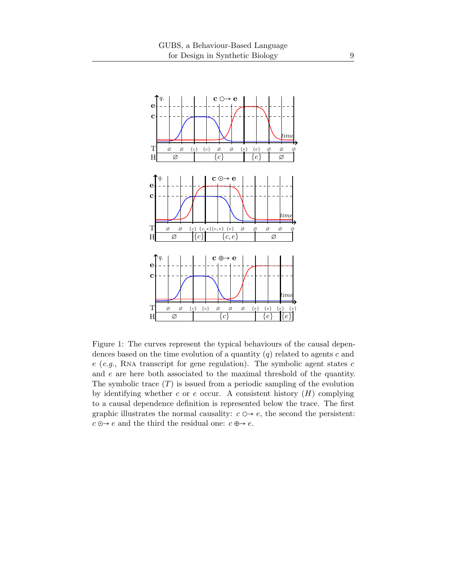<span id="page-8-0"></span>

Figure 1: The curves represent the typical behaviours of the causal dependences based on the time evolution of a quantity  $(q)$  related to agents c and  $e$  (*e.g.*, RNA transcript for gene regulation). The symbolic agent states  $c$ and e are here both associated to the maximal threshold of the quantity. The symbolic trace  $(T)$  is issued from a periodic sampling of the evolution by identifying whether c or e occur. A consistent history  $(H)$  complying to a causal dependence definition is represented below the trace. The first graphic illustrates the normal causality:  $c \circ \rightarrow e$ , the second the persistent:  $c \odot \rightarrow e$  and the third the residual one:  $c \oplus \rightarrow e$ .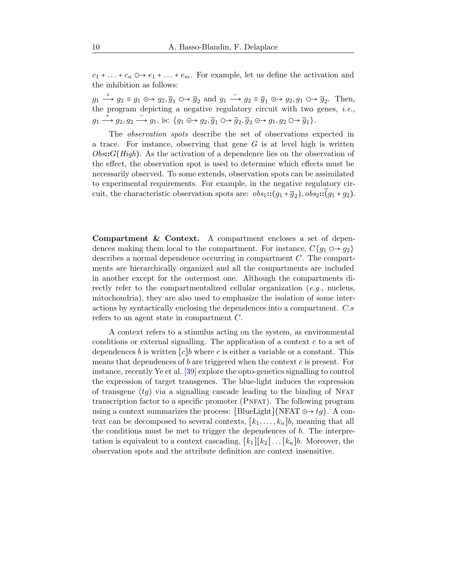$c_1 + \ldots + c_n \circ \rightarrow e_1 + \ldots + e_m$ . For example, let us define the activation and the inhibition as follows:

 $g_1 \stackrel{+}{\longrightarrow} g_2 \equiv g_1 \oplus \rightarrow g_2, \overline{g}_1 \oplus \rightarrow \overline{g}_2$  and  $g_1 \stackrel{-}{\longrightarrow} g_2 \equiv \overline{g}_1 \oplus \rightarrow g_2, g_1 \oplus \rightarrow \overline{g}_2$ . Then, the program depicting a negative regulatory circuit with two genes, *i.e.*,  $g_1 \xrightarrow{+} g_2, g_2 \xrightarrow{=} g_1$ , is:  $\{g_1 \otimes g_2, \overline{g}_1 \otimes g_2, \overline{g}_2 \otimes g_1, g_2 \otimes g_1, \overline{g}_2 \otimes g_2 \xrightarrow{+} g_1\}.$ 

The *observation spots* describe the set of observations expected in a trace. For instance, observing that gene  $G$  is at level high is written *Obs*::G(*High*). As the activation of a dependence lies on the observation of the effect, the observation spot is used to determine which effects must be necessarily observed. To some extends, observation spots can be assimilated to experimental requirements. For example, in the negative regulatory circuit, the characteristic observation spots are:  $obs_1 :: (g_1 + \overline{g}_2), obs_2 :: (g_1 + g_2)$ .

Compartment & Context. A compartment encloses a set of dependences making them local to the compartment. For instance,  $C{g_1 \odot \rightarrow g_2}$ describes a normal dependence occurring in compartment  $C$ . The compartments are hierarchically organized and all the compartments are included in another except for the outermost one. Although the compartments directly refer to the compartmentalized cellular organization (*e.g.*, nucleus, mitochondria), they are also used to emphasize the isolation of some interactions by syntactically enclosing the dependences into a compartment. C.s refers to an agent state in compartment C.

A context refers to a stimulus acting on the system, as environmental conditions or external signalling. The application of a context  $c$  to a set of dependences b is written  $[c]$ b where c is either a variable or a constant. This means that dependences of b are triggered when the context  $c$  is present. For instance, recently Ye et al. [\[39\]](#page-37-4) explore the opto-genetics signalling to control the expression of target transgenes. The blue-light induces the expression of transgene  $(tq)$  via a signalling cascade leading to the binding of NFAT transcription factor to a specific promoter (Pnfat). The following program using a context summarizes the process: [BlueLight]{NFAT  $\odot \rightarrow tq$  }. A context can be decomposed to several contexts,  $[k_1, \ldots, k_n]$ , meaning that all the conditions must be met to trigger the dependences of b. The interpretation is equivalent to a context cascading,  $[k_1][k_2] \dots [k_n]b$ . Moreover, the observation spots and the attribute definition are context insensitive.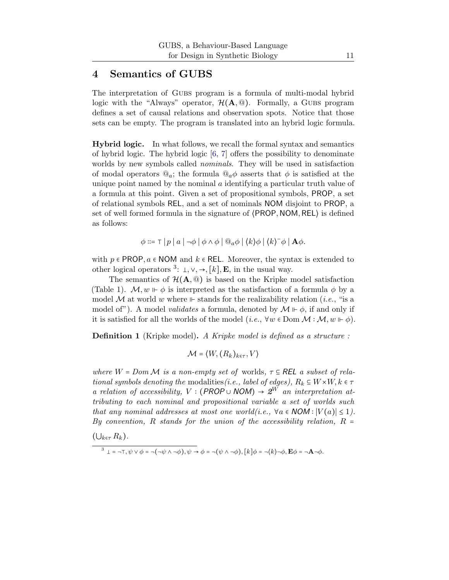## <span id="page-10-0"></span>4 Semantics of GUBS

The interpretation of Gubs program is a formula of multi-modal hybrid logic with the "Always" operator,  $\mathcal{H}(\mathbf{A},\mathbb{Q})$ . Formally, a GUBS program defines a set of causal relations and observation spots. Notice that those sets can be empty. The program is translated into an hybrid logic formula.

Hybrid logic. In what follows, we recall the formal syntax and semantics of hybrid logic. The hybrid logic [\[6,](#page-33-3) [7\]](#page-34-6) offers the possibility to denominate worlds by new symbols called *nominals*. They will be used in satisfaction of modal operators  $\mathbb{Q}_a$ ; the formula  $\mathbb{Q}_a \phi$  asserts that  $\phi$  is satisfied at the unique point named by the nominal  $\alpha$  identifying a particular truth value of a formula at this point. Given a set of propositional symbols, PROP, a set of relational symbols REL, and a set of nominals NOM disjoint to PROP, a set of well formed formula in the signature of ⟨PROP, NOM,REL⟩ is defined as follows:

$$
\phi ::= \top |p| a | \neg \phi | \phi \land \phi | @a \phi | \langle k \rangle \phi | \langle k \rangle^{-} \phi | \mathbf{A} \phi.
$$

with  $p \in \text{PROP}, a \in \text{NOM}$  and  $k \in \text{REL}$ . Moreover, the syntax is extended to other logical operators <sup>[3](#page-10-1)</sup>:  $\bot, \vee, \rightarrow$ , [k], **E**, in the usual way.

The semantics of  $\mathcal{H}(\mathbf{A},\mathbf{Q})$  is based on the Kripke model satisfaction (Table [1\)](#page-11-0).  $\mathcal{M}, w \Vdash \phi$  is interpreted as the satisfaction of a formula  $\phi$  by a model M at world w where ⊩ stands for the realizability relation (*i.e.*, "is a model of"). A model *validates* a formula, denoted by  $\mathcal{M} \Vdash \phi$ , if and only if it is satisfied for all the worlds of the model (*i.e.*,  $\forall w \in \text{Dom } \mathcal{M} : \mathcal{M}, w \Vdash \phi$ ).

<span id="page-10-2"></span>Definition 1 (Kripke model). *A Kripke model is defined as a structure :*

$$
\mathcal{M} = \langle W, (R_k)_{k \in \tau}, V \rangle
$$

*where*  $W = Dom \mathcal{M}$  *is a non-empty set of* worlds,  $\tau \subseteq \mathsf{REL}$  *a subset of relational symbols denoting the* modalities *(i.e., label of edges)*,  $R_k \subseteq W \times W, k \in \tau$ *a relation of accessibility,*  $V : (PROP \cup NOM) \rightarrow 2^W$  *an interpretation attributing to each nominal and propositional variable a set of worlds such that any nominal addresses at most one world(i.e.,*  $\forall a \in \text{NOM} : |V(a)| \leq 1$ ). *By convention,* R *stands for the union of the accessibility relation,* R =

 $(\bigcup_{k\in\tau} R_k)$ .

<span id="page-10-1"></span>
$$
3 \perp = \neg \top, \psi \vee \phi = \neg(\neg \psi \wedge \neg \phi), \psi \rightarrow \phi = \neg(\psi \wedge \neg \phi), [k] \phi = \neg(k) \neg \phi, \mathbf{E} \phi = \neg \mathbf{A} \neg \phi.
$$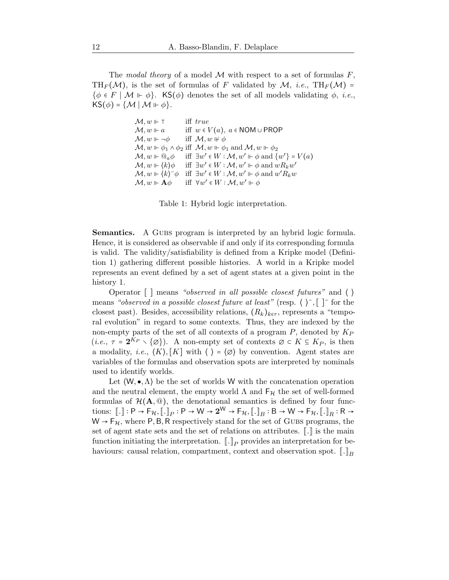<span id="page-11-0"></span>The *modal theory* of a model  $M$  with respect to a set of formulas  $F$ , TH<sub>F</sub>(M), is the set of formulas of F validated by M, *i.e.*, TH<sub>F</sub>(M) =  $\{\phi \in F \mid \mathcal{M} \models \phi\}.$  KS $(\phi)$  denotes the set of all models validating  $\phi$ , *i.e.*,  $KS(\phi) = \{ \mathcal{M} \mid \mathcal{M} \Vdash \phi \}.$ 

```
\mathcal{M}, w \Vdash \top iff true
\mathcal{M}, w \Vdash a iff w \in V(a), a \in \text{NOM} \cup \text{PROP}\mathcal{M}, w \Vdash \neg \phi iff \mathcal{M}, w \Vdash \phi\mathcal{M}, w \Vdash \phi_1 \wedge \phi_2 iff \mathcal{M}, w \Vdash \phi_1 and \mathcal{M}, w \Vdash \phi_2\mathcal{M}, w \Vdash \mathbb{Q}_a \phi\mathscr{C} \in W : \mathcal{M}, w' \Vdash \phi \text{ and } \{w'\} = V(a)\mathcal{M}, w \Vdash \langle k \rangle \phi\mathscr{C}\in W:\mathcal{M},w'\Vdash\phi\text{ and }wR_kw'\mathcal{M}, w \Vdash \langle k \rangle^- \phi \quad \text{iff} \quad \exists w' \in W : \mathcal{M}, w' \Vdash \phi \text{ and } w' R_k w\mathcal{M}, w \Vdash A\phi\mathscr{C}\in W:\mathcal{M},w'\Vdash\phi
```
Table 1: Hybrid logic interpretation.

Semantics. A GUBS program is interpreted by an hybrid logic formula. Hence, it is considered as observable if and only if its corresponding formula is valid. The validity/satisfiability is defined from a Kripke model (Definition [1\)](#page-10-2) gathering different possible histories. A world in a Kripke model represents an event defined by a set of agent states at a given point in the history [1.](#page-8-0)

Operator [ ] means *"observed in all possible closest futures"* and ⟨ ⟩ means *"observed in a possible closest future at least"* (resp. ⟨ ⟩<sup>−</sup> ,[ ]<sup>−</sup> for the closest past). Besides, accessibility relations,  $(R_k)_{k \in \tau}$ , represents a "temporal evolution" in regard to some contexts. Thus, they are indexed by the non-empty parts of the set of all contexts of a program  $P$ , denoted by  $K_P$  $(i.e., \tau = 2^{K_P} \setminus {\emptyset})$ . A non-empty set of contexts  $\emptyset \subset K \subseteq K_P$ , is then a modality, *i.e.*,  $\langle K \rangle$ ,  $\lceil K \rceil$  with  $\langle \rangle = \langle \emptyset \rangle$  by convention. Agent states are variables of the formulas and observation spots are interpreted by nominals used to identify worlds.

Let  $(W, \bullet, \Lambda)$  be the set of worlds W with the concatenation operation and the neutral element, the empty world  $\Lambda$  and  $F_{\mathcal{H}}$  the set of well-formed formulas of  $\mathcal{H}(\mathbf{A},\mathbb{Q})$ , the denotational semantics is defined by four functions:  $[\![.]\!] : \mathsf{P} \to \mathsf{F}_{\mathcal{H}}, [\![.]\!]_P : \mathsf{P} \to \mathsf{W} \to \mathsf{2}^{\mathsf{W}} \to \mathsf{F}_{\mathcal{H}}, [\![.]\!]_B : \mathsf{B} \to \mathsf{W} \to \mathsf{F}_{\mathcal{H}}, [\![.]\!]_R : \mathsf{R} \to$  $W \rightarrow F_H$ , where P, B, R respectively stand for the set of GUBS programs, the set of agent state sets and the set of relations on attributes.  $\lbrack \cdot \rbrack$  is the main function initiating the interpretation.  $[\![.]\!]_P$  provides an interpretation for behaviours: causal relation, compartment, context and observation spot.  $\lbrack .\rbrack_R$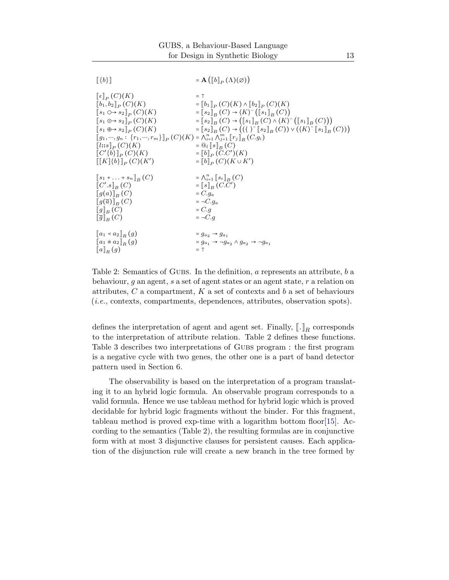<span id="page-12-0"></span>

| $\ \{b\}\ $                                                                                                                                                                                                                                                                                                                                               | $= \mathbf{A}(\llbracket b \rrbracket_P(\Lambda)(\varnothing))$                                                                                                                                                                                                                                                                                                                                                                                                                                                                                                                              |
|-----------------------------------------------------------------------------------------------------------------------------------------------------------------------------------------------------------------------------------------------------------------------------------------------------------------------------------------------------------|----------------------------------------------------------------------------------------------------------------------------------------------------------------------------------------------------------------------------------------------------------------------------------------------------------------------------------------------------------------------------------------------------------------------------------------------------------------------------------------------------------------------------------------------------------------------------------------------|
| $\ \epsilon\ _p(C)(K)$<br>$[b_1, b_2]_P(C)(K)$<br>$[s_1 \odot \rightarrow s_2]_P(C)(K)$<br>$[s_1 \odot \rightarrow s_2]_P(C)(K)$<br>$[s_1 \oplus s_2]_P(C)(K)$<br>$[[g_1, , g_n : \{r_1, , r_m\}]]_P(C)(K) = \bigwedge_{i=1}^n \bigwedge_{j=1}^m [r_j]_R(C.g_i)$<br>$[ l::s] _P(C)(K)$<br>$\llbracket C'\{b\}\rrbracket_P(C)(K)$<br>$[[K]\{b\}]_P(C)(K')$ | $=$ T<br>$=\llbracket b_1 \rrbracket_P(C)(K) \wedge \llbracket b_2 \rrbracket_P(C)(K)$<br>$=\llbracket s_2 \rrbracket_B(C) \to \langle K \rangle^-\big(\llbracket s_1 \rrbracket_B(C)\big)$<br>$=\llbracket s_2 \rrbracket_B(C) \rightarrow (\llbracket s_1 \rrbracket_B(C) \wedge \langle K \rangle^-(\llbracket s_1 \rrbracket_B(C)))$<br>$=\llbracket s_2 \rrbracket_B(C) \to ((\langle \ \rangle^{\perp} \llbracket s_2 \rrbracket_B(C)) \vee (\langle K \rangle^{\perp} \llbracket s_1 \rrbracket_B(C)))$<br>$=\mathbb{Q}_l[[s]]_B(C)$<br>$= [b]_P(C.C')(K)$<br>$= [b]_P(C)(K \cup K')$ |
| $[s_1 + \ldots + s_n]_B(C)$                                                                                                                                                                                                                                                                                                                               | $=\bigwedge_{i=1}^n [s_i]_B(C)$                                                                                                                                                                                                                                                                                                                                                                                                                                                                                                                                                              |
| $\llbracket C'.s \rrbracket_R(C)$                                                                                                                                                                                                                                                                                                                         | $=$ $[s]_{B} (C.C')$                                                                                                                                                                                                                                                                                                                                                                                                                                                                                                                                                                         |
| $\llbracket g(a) \rrbracket_B(C)$                                                                                                                                                                                                                                                                                                                         | $= C.q_a$                                                                                                                                                                                                                                                                                                                                                                                                                                                                                                                                                                                    |
| $\llbracket g(\overline{a}) \rrbracket_B(C)$                                                                                                                                                                                                                                                                                                              | $= \neg C . q_a$                                                                                                                                                                                                                                                                                                                                                                                                                                                                                                                                                                             |
| $\llbracket g \rrbracket_B(C)$                                                                                                                                                                                                                                                                                                                            | $= C.q$                                                                                                                                                                                                                                                                                                                                                                                                                                                                                                                                                                                      |
| $\ \overline{g}\ _{B}(C)$                                                                                                                                                                                                                                                                                                                                 | $= \neg C . q$                                                                                                                                                                                                                                                                                                                                                                                                                                                                                                                                                                               |
| $\ a_1 \times a_2\ _{B}(g)$                                                                                                                                                                                                                                                                                                                               | $= g_{a_2} \rightarrow g_{a_1}$                                                                                                                                                                                                                                                                                                                                                                                                                                                                                                                                                              |
| $\llbracket a_1 * a_2 \rrbracket_R(g)$                                                                                                                                                                                                                                                                                                                    | $= g_{a_1} \rightarrow \neg g_{a_2} \land g_{a_2} \rightarrow \neg g_{a_1}$                                                                                                                                                                                                                                                                                                                                                                                                                                                                                                                  |
| $\llbracket a \rrbracket_R(g)$                                                                                                                                                                                                                                                                                                                            | $= T$                                                                                                                                                                                                                                                                                                                                                                                                                                                                                                                                                                                        |

Table 2: Semantics of GUBS. In the definition, a represents an attribute, b a behaviour, g an agent, s a set of agent states or an agent state, r a relation on attributes,  $C$  a compartment,  $K$  a set of contexts and b a set of behaviours (*i.e.*, contexts, compartments, dependences, attributes, observation spots).

defines the interpretation of agent and agent set. Finally,  $\llbracket . \rrbracket_R$  corresponds to the interpretation of attribute relation. Table [2](#page-12-0) defines these functions. Table [3](#page-13-0) describes two interpretations of Gubs program : the first program is a negative cycle with two genes, the other one is a part of band detector pattern used in Section [6.](#page-22-0)

The observability is based on the interpretation of a program translating it to an hybrid logic formula. An observable program corresponds to a valid formula. Hence we use tableau method for hybrid logic which is proved decidable for hybrid logic fragments without the binder. For this fragment, tableau method is proved exp-time with a logarithm bottom floor[\[15\]](#page-34-7). According to the semantics (Table [2\)](#page-12-0), the resulting formulas are in conjunctive form with at most 3 disjunctive clauses for persistent causes. Each application of the disjunction rule will create a new branch in the tree formed by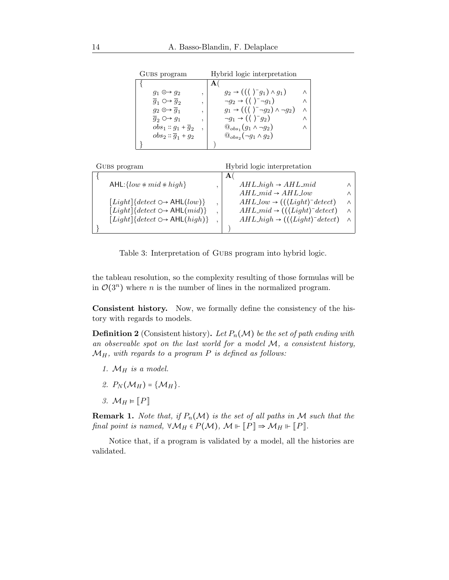<span id="page-13-0"></span>

| GUBS program                                      |   | Hybrid logic interpretation                                      |   |
|---------------------------------------------------|---|------------------------------------------------------------------|---|
|                                                   |   |                                                                  |   |
| $q_1 \odot \rightarrow q_2$                       | , | $g_2 \rightarrow ((\langle \ \rangle^- g_1) \wedge g_1)$         |   |
| $\overline{g}_1 \circ \rightarrow \overline{g}_2$ | , | $\neg g_2 \rightarrow (\langle \ \rangle^- \neg g_1)$            | Λ |
| $q_2 \odot \rightarrow \overline{q}_1$            | , | $g_1 \rightarrow ((\langle \rangle^- \neg g_2) \wedge \neg g_2)$ | Λ |
| $\overline{g}_2 \circ \rightarrow g_1$            | ۰ | $\neg g_1 \rightarrow (\langle \ \rangle^- g_2)$                 | Λ |
| $obs_1 :: g_1 + \overline{g}_2$                   | ٠ | $\mathbb{Q}_{obs_1}(g_1 \wedge \neg g_2)$                        | Λ |
| $obs_2 :: \overline{g}_1 + g_2$                   |   | $\mathbb{Q}_{obs_2}(\neg g_1 \land g_2)$                         |   |
|                                                   |   |                                                                  |   |

| GUBS program                         | Hybrid logic interpretation                                                        |          |
|--------------------------------------|------------------------------------------------------------------------------------|----------|
|                                      | А                                                                                  |          |
| AHL: $\{low \ast mid \ast high\}$    | $AHL\_{high} \rightarrow AHL\_{mid}$                                               |          |
|                                      | $AHL$ mid $\rightarrow$ $AHL$ low                                                  | ∧        |
| $[Light]$ {detect $\circ$ AHL(low)}  | $AHL_low \rightarrow ((\langle Light \rangle^- detect)$                            | $\wedge$ |
| $[Light]$ {detect $\circ$ AHL(mid)}  | $AHL$ <sub>mid</sub> $\rightarrow$ (( $\langle Light \rangle$ <sup>-</sup> detect) | $\wedge$ |
| $[Light]$ {detect $\circ$ AHL(high)} | $AHL\_{high} \rightarrow ((\langle Light \rangle^{-} detect)$                      | $\wedge$ |
|                                      |                                                                                    |          |

Table 3: Interpretation of GUBS program into hybrid logic.

the tableau resolution, so the complexity resulting of those formulas will be in  $\mathcal{O}(3^n)$  where *n* is the number of lines in the normalized program.

Consistent history. Now, we formally define the consistency of the history with regards to models.

**Definition 2** (Consistent history). Let  $P_n(\mathcal{M})$  be the set of path ending with *an observable spot on the last world for a model* M*, a consistent history,* MH*, with regards to a program* P *is defined as follows:*

- 1.  $M_H$  *is a model.*
- 2.  $P_N(\mathcal{M}_H) = \{ \mathcal{M}_H \}.$
- *3.*  $M_H \models [P]$

**Remark 1.** *Note that, if*  $P_n(\mathcal{M})$  *is the set of all paths in*  $\mathcal M$  *such that the final point is named,*  $\forall \mathcal{M}_H \in P(\mathcal{M})$ *,*  $\mathcal{M} \Vdash [P] \Rightarrow \mathcal{M}_H \Vdash [P]$ *.* 

Notice that, if a program is validated by a model, all the histories are validated.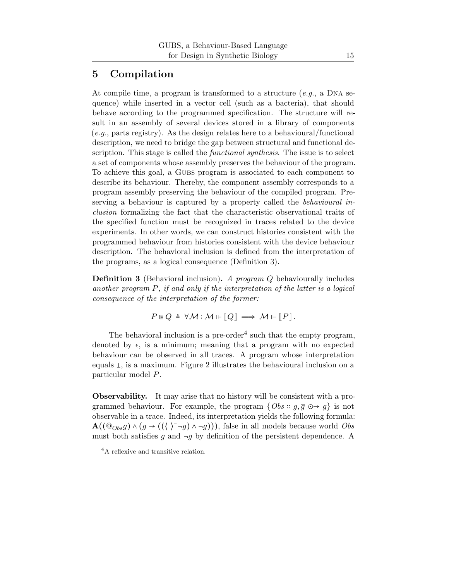# <span id="page-14-0"></span>5 Compilation

At compile time, a program is transformed to a structure (*e.g.*, a Dna sequence) while inserted in a vector cell (such as a bacteria), that should behave according to the programmed specification. The structure will result in an assembly of several devices stored in a library of components (*e.g.*, parts registry). As the design relates here to a behavioural/functional description, we need to bridge the gap between structural and functional description. This stage is called the *functional synthesis*. The issue is to select a set of components whose assembly preserves the behaviour of the program. To achieve this goal, a Gubs program is associated to each component to describe its behaviour. Thereby, the component assembly corresponds to a program assembly preserving the behaviour of the compiled program. Preserving a behaviour is captured by a property called the *behavioural inclusion* formalizing the fact that the characteristic observational traits of the specified function must be recognized in traces related to the device experiments. In other words, we can construct histories consistent with the programmed behaviour from histories consistent with the device behaviour description. The behavioral inclusion is defined from the interpretation of the programs, as a logical consequence (Definition [3\)](#page-14-1).

<span id="page-14-1"></span>Definition 3 (Behavioral inclusion). *A program* Q behaviourally includes *another program* P*, if and only if the interpretation of the latter is a logical consequence of the interpretation of the former:*

$$
P \mathrel{\mathop{\rule[1pt]{.5pt}{0.9pt}}\nolimits Q \triangleq \mathbb{V} \mathcal{M} : \mathcal{M} \Vdash \llbracket Q \rrbracket \implies \mathcal{M} \Vdash \llbracket P \rrbracket.
$$

The behavioral inclusion is a pre-order<sup>[4](#page-14-2)</sup> such that the empty program, denoted by  $\epsilon$ , is a minimum; meaning that a program with no expected behaviour can be observed in all traces. A program whose interpretation equals  $\perp$ , is a maximum. Figure [2](#page-15-0) illustrates the behavioural inclusion on a particular model P.

Observability. It may arise that no history will be consistent with a programmed behaviour. For example, the program  $\{Obs: g, \overline{g} \oplus \rightarrow g\}$  is not observable in a trace. Indeed, its interpretation yields the following formula: A(( $@_{Obs}g$ ) ∧ ( $g$  → (( $\langle$   $\rangle$ <sup>-</sup>¬g) ∧ ¬g))), false in all models because world *Obs* must both satisfies g and  $\neg g$  by definition of the persistent dependence. A

<span id="page-14-2"></span><sup>&</sup>lt;sup>4</sup>A reflexive and transitive relation.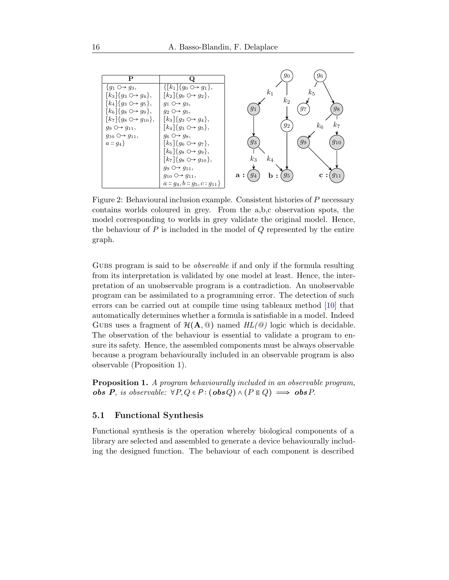<span id="page-15-0"></span>

|                                          |                                                                    | 96<br>$g_0$                                          |
|------------------------------------------|--------------------------------------------------------------------|------------------------------------------------------|
| P                                        |                                                                    |                                                      |
| $\{g_1 \circ \rightarrow g_3,$           | $\{[k_1]\{g_0 \odot g_1\},\$                                       |                                                      |
| $[k_3] \{g_3 \circ g_4\},\$              | $[k_2]\{g_0 \circ g_2\},\$                                         | k <sub>1</sub><br>$k_5$                              |
| $[k_4]\{g_3 \circ \rightarrow g_5\},\$   | $g_1 \circ \rightarrow g_3$ ,                                      | $k_{2}$                                              |
| $[k_6]$ { $g_8 \circ \rightarrow g_9$ }, | $g_2 \nightharpoonup g_5$ ,                                        | 98<br>97<br>$g_1$                                    |
| $[k_7]\{g_8 \circ g_{10}\},\$            | $[k_3]$ { $g_3 \odot \rightarrow g_4$ },                           |                                                      |
| $g_9 \nightharpoonup g_{11}$ ,           | $[k_4]\{g_3 \odot \rightarrow g_5\},\$                             | k7<br>$g_2$<br>$k_{6}$                               |
| $g_{10} \circ \rightarrow g_{11}$ ,      | $g_6 \circ g_8$ ,                                                  |                                                      |
| $a::g_4$                                 | $[k_5] \{g_6 \circ g_7\},\$                                        | $g_{10}$<br>$g_3$<br>99                              |
|                                          | $\left[ k_6 \right] \left\{ g_8 \circ \rightarrow g_9 \right\},\,$ |                                                      |
|                                          | $[k_7]\{g_8 \circ g_1, g_2\},\$                                    | $k_3$<br>$k_{4}$                                     |
|                                          | $g_9 \nightharpoonup g_{11}$ ,                                     |                                                      |
|                                          | $g_{10} \nightharpoonup g_{11},$                                   | $g_5$<br>94<br>a:<br>$g_{11}$<br>$\mathbf{c}$ :<br>b |
|                                          | $a:: g_4, b:: g_5, c:g_{11}$                                       |                                                      |

Figure 2: Behavioural inclusion example. Consistent histories of P necessary contains worlds coloured in grey. From the a,b,c observation spots, the model corresponding to worlds in grey validate the original model. Hence, the behaviour of  $P$  is included in the model of  $Q$  represented by the entire graph.

Gubs program is said to be *observable* if and only if the formula resulting from its interpretation is validated by one model at least. Hence, the interpretation of an unobservable program is a contradiction. An unobservable program can be assimilated to a programming error. The detection of such errors can be carried out at compile time using tableaux method [\[10\]](#page-34-8) that automatically determines whether a formula is satisfiable in a model. Indeed GUBS uses a fragment of  $\mathcal{H}(\mathbf{A},\mathbf{Q})$  named  $HL(\mathbf{Q})$  logic which is decidable. The observation of the behaviour is essential to validate a program to ensure its safety. Hence, the assembled components must be always observable because a program behaviourally included in an observable program is also observable (Proposition [1\)](#page-15-1).

<span id="page-15-1"></span>Proposition 1. *A program behaviourally included in an observable program, obs P, is observable:*  $∀P,Q ∈ P : (obsQ) ∧ (P ∈ Q) \implies obsP$ .

#### 5.1 Functional Synthesis

Functional synthesis is the operation whereby biological components of a library are selected and assembled to generate a device behaviourally including the designed function. The behaviour of each component is described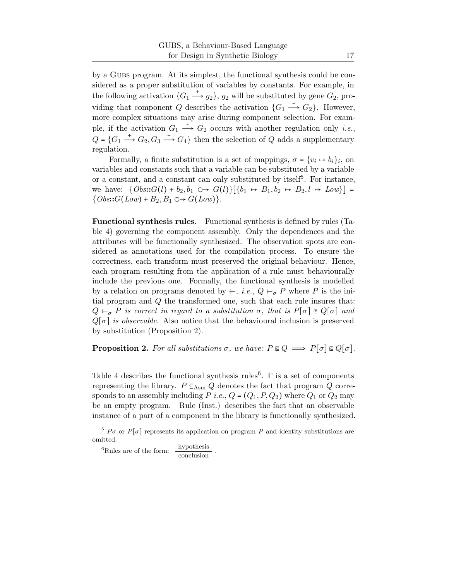by a Gubs program. At its simplest, the functional synthesis could be considered as a proper substitution of variables by constants. For example, in the following activation  $\{G_1 \stackrel{+}{\longrightarrow} g_2\}$ ,  $g_2$  will be substituted by gene  $G_2$ , providing that component Q describes the activation  $\{G_1 \stackrel{+}{\longrightarrow} G_2\}$ . However, more complex situations may arise during component selection. For example, if the activation  $G_1 \stackrel{+}{\longrightarrow} G_2$  occurs with another regulation only *i.e.*,  $Q = \{G_1 \stackrel{+}{\longrightarrow} G_2, G_3 \stackrel{+}{\longrightarrow} G_4\}$  then the selection of Q adds a supplementary regulation.

Formally, a finite substitution is a set of mappings,  $\sigma = \{v_i \mapsto b_i\}_i$ , on variables and constants such that a variable can be substituted by a variable or a constant, and a constant can only substituted by itself<sup>[5](#page-16-0)</sup>. For instance, we have:  $\{Obs:G(l) + b_2, b_1 \cup B \cup G(l)\} [\{b_1 \mapsto B_1, b_2 \mapsto B_2, l \mapsto Low\}] =$  $\{Obs::G(Low)+B_2, B_1 \odot \rightarrow G(Low)\}.$ 

Functional synthesis rules. Functional synthesis is defined by rules (Table [4\)](#page-17-1) governing the component assembly. Only the dependences and the attributes will be functionally synthesized. The observation spots are considered as annotations used for the compilation process. To ensure the correctness, each transform must preserved the original behaviour. Hence, each program resulting from the application of a rule must behaviourally include the previous one. Formally, the functional synthesis is modelled by a relation on programs denoted by  $\leftarrow$ , *i.e.*,  $Q \leftarrow_{\sigma} P$  where P is the initial program and Q the transformed one, such that each rule insures that:  $Q \leftarrow_{\sigma} P$  *is correct in regard to a substitution*  $\sigma$ *, that is*  $P[\sigma] \in Q[\sigma]$  *and*  $Q[\sigma]$  *is observable.* Also notice that the behavioural inclusion is preserved by substitution (Proposition [2\)](#page-16-1).

<span id="page-16-1"></span>**Proposition 2.** For all substitutions  $\sigma$ , we have:  $P \in Q \implies P[\sigma] \in Q[\sigma]$ .

Table [4](#page-17-1) describes the functional synthesis rules<sup>[6](#page-16-2)</sup>.  $\Gamma$  is a set of components representing the library.  $P \subseteq_{\text{Asm}} Q$  denotes the fact that program Q corresponds to an assembly including P *i.e.*,  $Q = (Q_1, P, Q_2)$  where  $Q_1$  or  $Q_2$  may be an empty program. Rule (Inst.) describes the fact that an observable instance of a part of a component in the library is functionally synthesized.

.

<sup>&</sup>lt;sup>5</sup>  $P\sigma$  or  $P[\sigma]$  represents its application on program P and identity substitutions are omitted.

<span id="page-16-2"></span><span id="page-16-0"></span> ${}^{6}$ Rules are of the form:  $\frac{\text{hypothesis}}{\text{conclusion}}$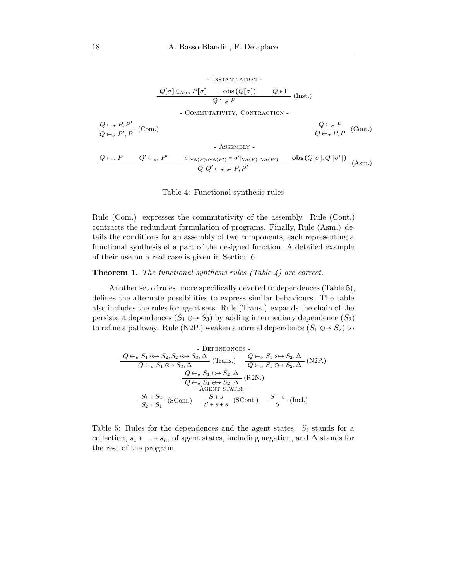<span id="page-17-1"></span>- INSTANTIATION -  
\n
$$
\frac{Q[\sigma] \subseteq_{\text{Asm}} P[\sigma] \qquad \text{obs}(Q[\sigma]) \qquad Q \in \Gamma \qquad (\text{Inst.})
$$
\n- 
$$
\frac{Q \leftarrow_{\sigma} P, P' \qquad (\text{Com.})}{Q \leftarrow_{\sigma} P', P} \text{ (Com.)} \qquad \qquad \frac{Q \leftarrow_{\sigma} P}{Q \leftarrow_{\sigma} P, P} \text{ (Cont.)}
$$
\n- 
$$
\frac{Q \leftarrow_{\sigma} P}{Q \leftarrow_{\sigma} P, P} \text{ (Cont.)}
$$
\n- 
$$
\frac{Q \leftarrow_{\sigma} P}{Q \leftarrow_{\sigma} P, P} \text{ (Cont.)}
$$
\n- 
$$
\frac{Q \leftarrow_{\sigma} P}{Q, Q' \leftarrow_{\sigma \cup \sigma'} P, P'}
$$
\n- 
$$
\frac{Q \leftarrow_{\sigma} P}{Q, Q' \leftarrow_{\sigma \cup \sigma'} P, P'}
$$
\n- 
$$
\frac{Q[\sigma], Q'[\sigma']}{Q, Q' \leftarrow_{\sigma \cup \sigma'} P, P'}
$$
\n- 
$$
\frac{Q[\sigma], Q'[\sigma']}{Q, Q' \leftarrow_{\sigma \cup \sigma'} P, P'}
$$

#### Table 4: Functional synthesis rules

Rule (Com.) expresses the commutativity of the assembly. Rule (Cont.) contracts the redundant formulation of programs. Finally, Rule (Asm.) details the conditions for an assembly of two components, each representing a functional synthesis of a part of the designed function. A detailed example of their use on a real case is given in Section [6.](#page-22-0)

#### <span id="page-17-2"></span>Theorem 1. *The functional synthesis rules (Table [4\)](#page-17-1) are correct.*

Another set of rules, more specifically devoted to dependences (Table [5\)](#page-17-0), defines the alternate possibilities to express similar behaviours. The table also includes the rules for agent sets. Rule (Trans.) expands the chain of the persistent dependences  $(S_1 \odot S_3)$  by adding intermediary dependence  $(S_2)$ to refine a pathway. Rule (N2P.) weaken a normal dependence  $(S_1 \odot S_2)$  to

<span id="page-17-0"></span>
$$
\frac{Q \leftarrow_{\sigma} S_1 \odot \rightarrow S_2, S_2 \odot \rightarrow S_3, \Delta}{Q \leftarrow_{\sigma} S_1 \odot \rightarrow S_3, \Delta} \text{ (Trans.)} \quad \frac{Q \leftarrow_{\sigma} S_1 \odot \rightarrow S_2, \Delta}{Q \leftarrow_{\sigma} S_1 \odot \rightarrow S_2, \Delta} \text{ (N2P.)}
$$
\n
$$
\frac{Q \leftarrow_{\sigma} S_1 \odot \rightarrow S_2, \Delta}{Q \leftarrow_{\sigma} S_1 \oplus \rightarrow S_2, \Delta} \text{ (R2N.)}
$$
\n
$$
\frac{S_1 + S_2}{S_2 + S_1} \text{ (SCom.)} \quad \frac{S + s}{S + s + s} \text{ (SCont.)} \quad \frac{S + s}{S} \text{ (Incl.)}
$$

Table 5: Rules for the dependences and the agent states.  $S_i$  stands for a collection,  $s_1 + \ldots + s_n$ , of agent states, including negation, and  $\Delta$  stands for the rest of the program.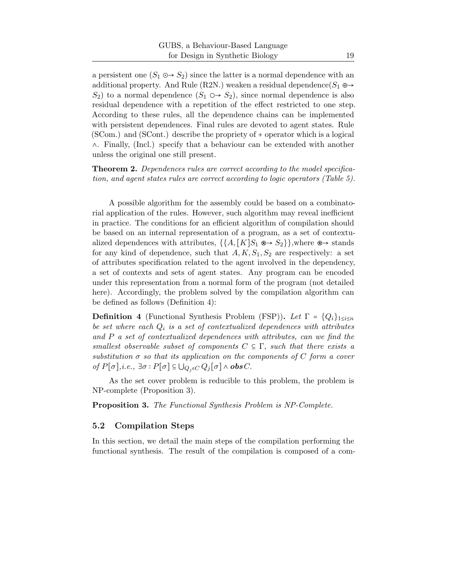a persistent one  $(S_1 \odot S_2)$  since the latter is a normal dependence with an additional property. And Rule (R2N.) weaken a residual dependence( $S_1 \oplus \rightarrow$  $S_2$ ) to a normal dependence  $(S_1 \circ S_2)$ , since normal dependence is also residual dependence with a repetition of the effect restricted to one step. According to these rules, all the dependence chains can be implemented with persistent dependences. Final rules are devoted to agent states. Rule (SCom.) and (SCont.) describe the propriety of + operator which is a logical ∧. Finally, (Incl.) specify that a behaviour can be extended with another unless the original one still present.

Theorem 2. *Dependences rules are correct according to the model specification, and agent states rules are correct according to logic operators (Table [5\)](#page-17-0).*

A possible algorithm for the assembly could be based on a combinatorial application of the rules. However, such algorithm may reveal inefficient in practice. The conditions for an efficient algorithm of compilation should be based on an internal representation of a program, as a set of contextualized dependences with attributes,  $\{\{A, [K]S_1 \otimes \rightarrow S_2\}\}\$ , where  $\otimes \rightarrow$  stands for any kind of dependence, such that  $A, K, S_1, S_2$  are respectively: a set of attributes specification related to the agent involved in the dependency, a set of contexts and sets of agent states. Any program can be encoded under this representation from a normal form of the program (not detailed here). Accordingly, the problem solved by the compilation algorithm can be defined as follows (Definition [4\)](#page-18-0):

<span id="page-18-0"></span>**Definition 4** (Functional Synthesis Problem (FSP)). Let  $\Gamma = \{Q_i\}_{1 \leq i \leq n}$ *be set where each* Q<sup>i</sup> *is a set of contextualized dependences with attributes and* P *a set of contextualized dependences with attributes, can we find the smallest observable subset of components*  $C \subseteq \Gamma$ , *such that there exists a substitution* σ *so that its application on the components of* C *form a cover of*  $P[\sigma]$ *,i.e.,*  $\exists \sigma : P[\sigma] \subseteq \bigcup_{Q_i \in C} Q_i[\sigma] \wedge \mathbf{obs} C$ .

<span id="page-18-1"></span>As the set cover problem is reducible to this problem, the problem is NP-complete (Proposition [3\)](#page-18-1).

Proposition 3. *The Functional Synthesis Problem is NP-Complete.*

#### 5.2 Compilation Steps

In this section, we detail the main steps of the compilation performing the functional synthesis. The result of the compilation is composed of a com-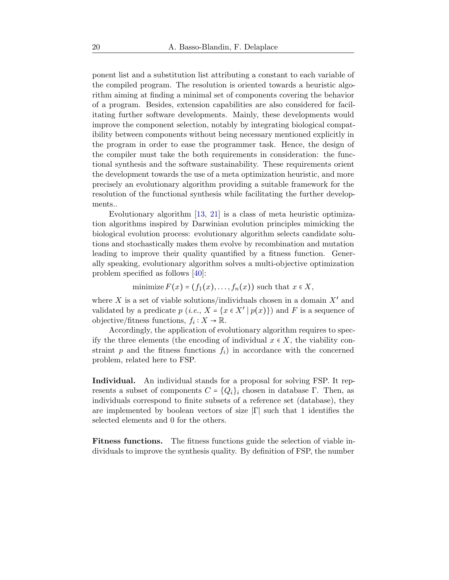ponent list and a substitution list attributing a constant to each variable of the compiled program. The resolution is oriented towards a heuristic algorithm aiming at finding a minimal set of components covering the behavior of a program. Besides, extension capabilities are also considered for facilitating further software developments. Mainly, these developments would improve the component selection, notably by integrating biological compatibility between components without being necessary mentioned explicitly in the program in order to ease the programmer task. Hence, the design of the compiler must take the both requirements in consideration: the functional synthesis and the software sustainability. These requirements orient the development towards the use of a meta optimization heuristic, and more precisely an evolutionary algorithm providing a suitable framework for the resolution of the functional synthesis while facilitating the further developments..

Evolutionary algorithm [\[13,](#page-34-9) [21\]](#page-35-4) is a class of meta heuristic optimization algorithms inspired by Darwinian evolution principles mimicking the biological evolution process: evolutionary algorithm selects candidate solutions and stochastically makes them evolve by recombination and mutation leading to improve their quality quantified by a fitness function. Generally speaking, evolutionary algorithm solves a multi-objective optimization problem specified as follows [\[40\]](#page-37-5):

minimize  $F(x) = (f_1(x), \ldots, f_n(x))$  such that  $x \in X$ ,

where X is a set of viable solutions/individuals chosen in a domain  $X'$  and validated by a predicate  $p(i.e., X = \{x \in X' | p(x)\})$  and F is a sequence of objective/fitness functions,  $f_i: X \to \mathbb{R}$ .

Accordingly, the application of evolutionary algorithm requires to specify the three elements (the encoding of individual  $x \in X$ , the viability constraint  $p$  and the fitness functions  $f_i$ ) in accordance with the concerned problem, related here to FSP.

Individual. An individual stands for a proposal for solving FSP. It represents a subset of components  $C = \{Q_i\}_i$  chosen in database Γ. Then, as individuals correspond to finite subsets of a reference set (database), they are implemented by boolean vectors of size  $|\Gamma|$  such that 1 identifies the selected elements and 0 for the others.

Fitness functions. The fitness functions guide the selection of viable individuals to improve the synthesis quality. By definition of FSP, the number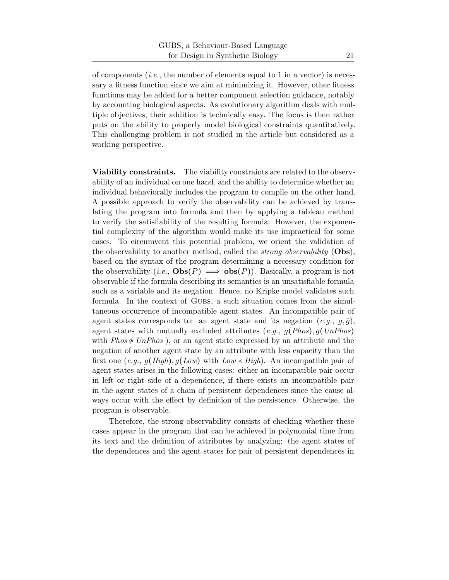of components (*i.e.*, the number of elements equal to 1 in a vector) is necessary a fitness function since we aim at minimizing it. However, other fitness functions may be added for a better component selection guidance, notably by accounting biological aspects. As evolutionary algorithm deals with multiple objectives, their addition is technically easy. The focus is then rather puts on the ability to properly model biological constraints quantitatively. This challenging problem is not studied in the article but considered as a working perspective.

Viability constraints. The viability constraints are related to the observability of an individual on one hand, and the ability to determine whether an individual behaviorally includes the program to compile on the other hand. A possible approach to verify the observability can be achieved by translating the program into formula and then by applying a tableau method to verify the satisfiability of the resulting formula. However, the exponential complexity of the algorithm would make its use impractical for some cases. To circumvent this potential problem, we orient the validation of the observability to another method, called the *strong observability* (Obs), based on the syntax of the program determining a necessary condition for the observability (*i.e.*,  $\mathbf{Obs}(P) \implies \mathbf{obs}(P)$ ). Basically, a program is not observable if the formula describing its semantics is an unsatisfiable formula such as a variable and its negation. Hence, no Kripke model validates such formula. In the context of Gubs, a such situation comes from the simultaneous occurrence of incompatible agent states. An incompatible pair of agent states corresponds to: an agent state and its negation  $(e.g., g,\overline{g})$ , agent states with mutually excluded attributes (*e.g.*, g(*Phos*), g(*UnPhos*) with *Phos* ≉ *UnPhos* ), or an agent state expressed by an attribute and the negation of another agent state by an attribute with less capacity than the first one (*e.g.*, g(*High*), g(*Low*) with *Low* ≺ *High*). An incompatible pair of agent states arises in the following cases: either an incompatible pair occur in left or right side of a dependence, if there exists an incompatible pair in the agent states of a chain of persistent dependences since the cause always occur with the effect by definition of the persistence. Otherwise, the program is observable.

Therefore, the strong observability consists of checking whether these cases appear in the program that can be achieved in polynomial time from its text and the definition of attributes by analyzing: the agent states of the dependences and the agent states for pair of persistent dependences in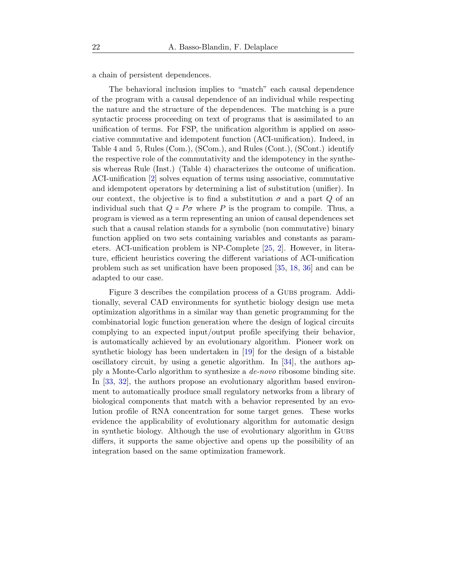a chain of persistent dependences.

The behavioral inclusion implies to "match" each causal dependence of the program with a causal dependence of an individual while respecting the nature and the structure of the dependences. The matching is a pure syntactic process proceeding on text of programs that is assimilated to an unification of terms. For FSP, the unification algorithm is applied on associative commutative and idempotent function (ACI-unification). Indeed, in Table [4](#page-17-1) and [5,](#page-17-0) Rules (Com.), (SCom.), and Rules (Cont.), (SCont.) identify the respective role of the commutativity and the idempotency in the synthesis whereas Rule (Inst.) (Table [4\)](#page-17-1) characterizes the outcome of unification. ACI-unification [\[2\]](#page-33-4) solves equation of terms using associative, commutative and idempotent operators by determining a list of substitution (unifier). In our context, the objective is to find a substitution  $\sigma$  and a part Q of an individual such that  $Q = P\sigma$  where P is the program to compile. Thus, a program is viewed as a term representing an union of causal dependences set such that a causal relation stands for a symbolic (non commutative) binary function applied on two sets containing variables and constants as parameters. ACI-unification problem is NP-Complete [\[25,](#page-35-5) [2\]](#page-33-4). However, in literature, efficient heuristics covering the different variations of ACI-unification problem such as set unification have been proposed [\[35,](#page-36-6) [18,](#page-35-6) [36\]](#page-37-6) and can be adapted to our case.

Figure [3](#page-22-1) describes the compilation process of a GUBS program. Additionally, several CAD environments for synthetic biology design use meta optimization algorithms in a similar way than genetic programming for the combinatorial logic function generation where the design of logical circuits complying to an expected input/output profile specifying their behavior, is automatically achieved by an evolutionary algorithm. Pioneer work on synthetic biology has been undertaken in [\[19\]](#page-35-7) for the design of a bistable oscillatory circuit, by using a genetic algorithm. In [\[34\]](#page-36-7), the authors apply a Monte-Carlo algorithm to synthesize a *de-novo* ribosome binding site. In [\[33,](#page-36-8) [32\]](#page-36-9), the authors propose an evolutionary algorithm based environment to automatically produce small regulatory networks from a library of biological components that match with a behavior represented by an evolution profile of RNA concentration for some target genes. These works evidence the applicability of evolutionary algorithm for automatic design in synthetic biology. Although the use of evolutionary algorithm in Gubs differs, it supports the same objective and opens up the possibility of an integration based on the same optimization framework.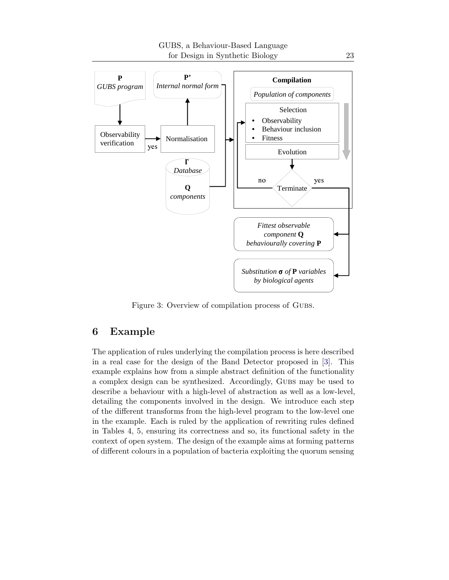<span id="page-22-1"></span>

Figure 3: Overview of compilation process of Gubs.

## <span id="page-22-0"></span>6 Example

The application of rules underlying the compilation process is here described in a real case for the design of the Band Detector proposed in [\[3\]](#page-33-5). This example explains how from a simple abstract definition of the functionality a complex design can be synthesized. Accordingly, Gubs may be used to describe a behaviour with a high-level of abstraction as well as a low-level, detailing the components involved in the design. We introduce each step of the different transforms from the high-level program to the low-level one in the example. Each is ruled by the application of rewriting rules defined in Tables [4,](#page-17-1) [5,](#page-17-0) ensuring its correctness and so, its functional safety in the context of open system. The design of the example aims at forming patterns of different colours in a population of bacteria exploiting the quorum sensing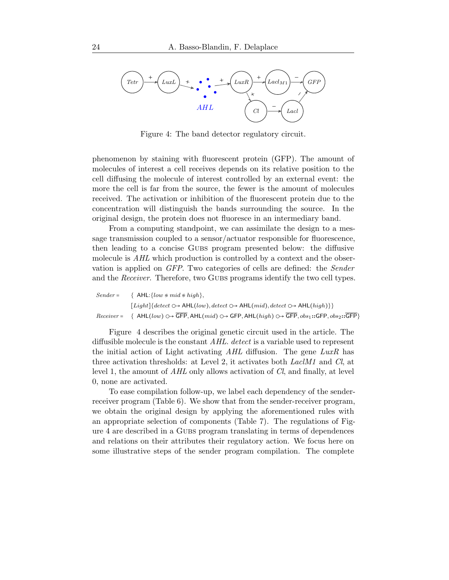<span id="page-23-0"></span>

Figure 4: The band detector regulatory circuit.

phenomenon by staining with fluorescent protein (GFP). The amount of molecules of interest a cell receives depends on its relative position to the cell diffusing the molecule of interest controlled by an external event: the more the cell is far from the source, the fewer is the amount of molecules received. The activation or inhibition of the fluorescent protein due to the concentration will distinguish the bands surrounding the source. In the original design, the protein does not fluoresce in an intermediary band.

From a computing standpoint, we can assimilate the design to a message transmission coupled to a sensor/actuator responsible for fluorescence, then leading to a concise Gubs program presented below: the diffusive molecule is *AHL* which production is controlled by a context and the observation is applied on *GFP*. Two categories of cells are defined: the *Sender* and the *Receiver*. Therefore, two GUBS programs identify the two cell types.

| $Sender =$ | $\{ AHL:\{low \ast mid \ast high\}.$                                                                                              |
|------------|-----------------------------------------------------------------------------------------------------------------------------------|
|            | $[Lighth] \{detect \bigcirc \rightarrow AHL(low), detect \bigcirc \rightarrow AHL(mid), detect \bigcirc \rightarrow AHL(high) \}$ |
|            | $Receiver = \{ AHL(low) \rightarrow GFP, AHL(mid) \rightarrow GFP, AHL(high) \rightarrow GFP, obs_1::GFP, obs_2::GFP\}$           |

Figure [4](#page-23-0) describes the original genetic circuit used in the article. The diffusible molecule is the constant *AHL*. *detect* is a variable used to represent the initial action of Light activating *AHL* diffusion. The gene *LuxR* has three activation thresholds: at Level 2, it activates both *LaclM1* and *Cl*, at level 1, the amount of *AHL* only allows activation of *Cl*, and finally, at level 0, none are activated.

To ease compilation follow-up, we label each dependency of the senderreceiver program (Table [6\)](#page-24-0). We show that from the sender-receiver program, we obtain the original design by applying the aforementioned rules with an appropriate selection of components (Table [7\)](#page-24-1). The regulations of Figure [4](#page-23-0) are described in a Gubs program translating in terms of dependences and relations on their attributes their regulatory action. We focus here on some illustrative steps of the sender program compilation. The complete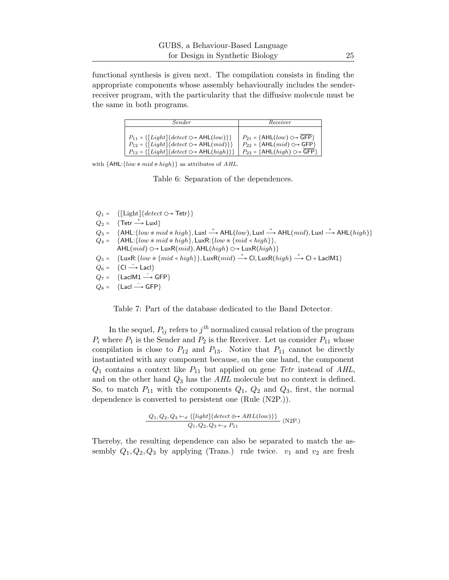<span id="page-24-0"></span>functional synthesis is given next. The compilation consists in finding the appropriate components whose assembly behaviourally includes the senderreceiver program, with the particularity that the diffusive molecule must be the same in both programs.

| Sender                                                                                | Receiver                                 |
|---------------------------------------------------------------------------------------|------------------------------------------|
| $P_{11} = \{\lceil Light \rceil \{ detect \bigcirc \rightarrow \text{AHL}(low) \}\}\$ | $P_{21} = \{AHL(low) \cup \text{GFP}\}\$ |
| $P_{12} = \{ [Light] \} \{ detect \bigcirc \rightarrow \text{AHL}(mid) \} \}$         | $P_{22} = \{AHL(mid) \cup \text{GFP}\}\$ |
| $P_{13} = \{ [Light] \{ detect \bigcirc \rightarrow AHL(high) \} \}$                  | $P_{23} = \{AHL(high) \cup B}$ GFP $\}$  |

with  $\{AHL:\{low \neq mid \neq high\}\}$  as attributes of AHL.

Table 6: Separation of the dependences.

- <span id="page-24-1"></span> $Q_1 = \{[\text{Light}]\{detect \bigcirc \rightarrow \text{Tetr}\}\}\$
- $Q_2 = \{ \text{Tetr} \stackrel{+}{\longrightarrow} \text{Luxl} \}$
- $Q_3 = \{ \text{AHL}: \{ low \neq mid \neq high \}, \text{Luxl} \longrightarrow \text{AHL}(low), \text{Luxl} \longrightarrow \text{AHL}(mid), \text{Luxl} \longrightarrow \text{AHL}(high) \}$
- $Q_4 = \{ \text{AHL}:\{ low \neq mid \neq high \}, \text{LuxR}: \{ low \neq \{ mid \prec high \} \},\$ AHL $(mid)$   $\bigcirc \rightarrow$  LuxR $(mid)$ , AHL $(high)$   $\bigcirc \rightarrow$  LuxR $(high)$ }
- $Q_5 = \{ \text{LuxR:} \{ low \ast \{ mid \prec high \}, \text{LuxR} (mid) \stackrel{+}{\longrightarrow} \text{Cl, LuxR} (high) \stackrel{+}{\longrightarrow} \text{Cl + LacIM1} \}$
- $Q_6 = \{ \text{CI} \longrightarrow \text{Lacl} \}$
- $Q_7 = \{ \text{LacIM1} \longrightarrow \text{GFP} \}$
- $Q_8 = \{$ Lacl  $\longrightarrow$  GFP $\}$

Table 7: Part of the database dedicated to the Band Detector.

In the sequel,  $P_{ij}$  refers to  $j^{\text{th}}$  normalized causal relation of the program  $P_i$  where  $P_1$  is the Sender and  $P_2$  is the Receiver. Let us consider  $P_{11}$  whose compilation is close to  $P_{12}$  and  $P_{13}$ . Notice that  $P_{11}$  cannot be directly instantiated with any component because, on the one hand, the component  $Q_1$  contains a context like  $P_{11}$  but applied on gene *Tetr* instead of AHL, and on the other hand Q<sup>3</sup> has the *AHL* molecule but no context is defined. So, to match  $P_{11}$  with the components  $Q_1$ ,  $Q_2$  and  $Q_3$ , first, the normal dependence is converted to persistent one (Rule (N2P.)).

$$
\frac{Q_1, Q_2, Q_3 \leftarrow_{\sigma} \{[light] \{detect \odot\rightarrow AHL(low)\} \}}{Q_1, Q_2, Q_3 \leftarrow_{\sigma} P_{11}} \text{ (N2P.)}
$$

Thereby, the resulting dependence can also be separated to match the assembly  $Q_1, Q_2, Q_3$  by applying (Trans.) rule twice.  $v_1$  and  $v_2$  are fresh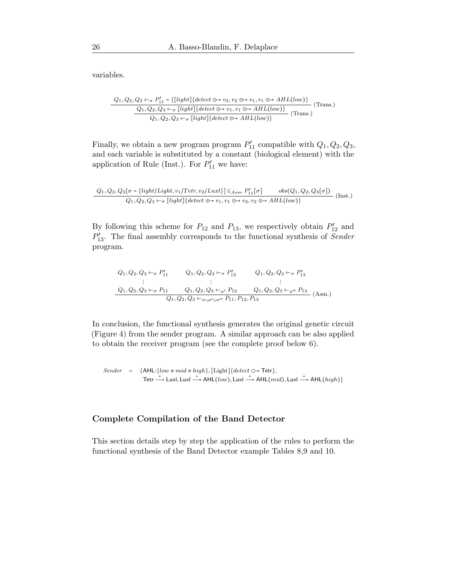variables.

$$
\frac{Q_1, Q_2, Q_3 \leftarrow_{\sigma} P'_{11} = \{[light] \{detect \odot \rightarrow v_2, v_2 \odot \rightarrow v_1, v_1 \odot \rightarrow AHL(low)\}}{Q_1, Q_2, Q_3 \leftarrow_{\sigma} [light] \{detect \odot \rightarrow v_1, v_1 \odot \rightarrow AHL(low)\}} \text{(Trans.)}
$$
  
\n
$$
Q_1, Q_2, Q_3 \leftarrow_{\sigma} [light] \{detect \odot \rightarrow AHL(low)\}
$$
 (Trans.)

Finally, we obtain a new program program  $P'_{11}$  compatible with  $Q_1, Q_2, Q_3$ , and each variable is substituted by a constant (biological element) with the application of Rule (Inst.). For  $P'_{11}$  we have:

$$
\frac{Q_1, Q_2, Q_3[\sigma = \{light/Light, v_1/Tetr, v_2/Luxl\}] \subseteq_{Asm} P'_{11}[\sigma] \qquad obs(Q_1, Q_2, Q_3[\sigma])}{Q_1, Q_2, Q_3 \leftarrow_{\sigma} [light] \{detect \odot \rightarrow v_1, v_1 \odot \rightarrow v_2, v_2 \odot \rightarrow AHL(low)\}}
$$
(Inst.)

By following this scheme for  $P_{12}$  and  $P_{13}$ , we respectively obtain  $P'_{12}$  and P ′ <sup>13</sup>. The final assembly corresponds to the functional synthesis of *Sender* program.

$$
Q_1, Q_2, Q_3 \leftarrow_{\sigma} P'_{11} \t Q_1, Q_2, Q_3 \leftarrow_{\sigma} P'_{12} \t Q_1, Q_2, Q_3 \leftarrow_{\sigma} P'_{13}
$$
  
\n:  
\n
$$
Q_1, Q_2, Q_3 \leftarrow_{\sigma} P_{11} \t Q_1, Q_2, Q_3 \leftarrow_{\sigma'} P_{12} \t Q_1, Q_2, Q_3 \leftarrow_{\sigma''} P_{13}
$$
  
\n
$$
Q_1, Q_2, Q_3 \leftarrow_{\sigma \cup \sigma' \cup \sigma''} P_{11}, P_{12}, P_{13}
$$
 (Asm.)

In conclusion, the functional synthesis generates the original genetic circuit (Figure [4\)](#page-23-0) from the sender program. A similar approach can be also applied to obtain the receiver program (see the complete proof below [6\)](#page-25-0).

Sender = {AHL: $\{low \not\approx mid \not\approx high\}$ , [Light] $\{detect \rightarrow \text{Tetr}\},$ Tetr  $\stackrel{+}{\longrightarrow}$  Luxl, Luxl  $\stackrel{+}{\longrightarrow}$  AHL $(low)$ , Luxl  $\stackrel{+}{\longrightarrow}$  AHL $(mid)$ , Luxl  $\stackrel{+}{\longrightarrow}$  AHL $(high)$ }

### <span id="page-25-0"></span>Complete Compilation of the Band Detector

This section details step by step the application of the rules to perform the functional synthesis of the Band Detector example Tables [8,](#page-26-0)[9](#page-27-0) and [10.](#page-28-0)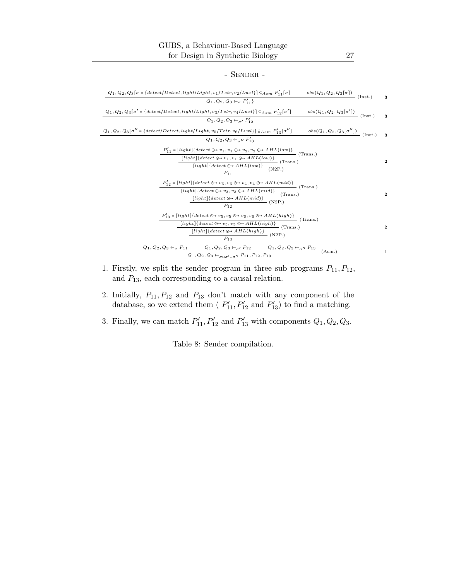#### - Sender -

<span id="page-26-0"></span>

| $Q_1, Q_2, Q_3[\sigma = \{detect/Detect, light/Light, v_1/Tetr, v_2/Luxl\} \subseteq_{Asm} P'_{11}[\sigma]$<br>$obs(\overline{Q_1},\overline{Q_2},\overline{Q_3[\sigma]})$ (Inst.)                                                                                                                                           | 3           |
|------------------------------------------------------------------------------------------------------------------------------------------------------------------------------------------------------------------------------------------------------------------------------------------------------------------------------|-------------|
| $Q_1, Q_2, Q_3 \leftarrow_{\sigma} P'_{11}$                                                                                                                                                                                                                                                                                  |             |
| $Q_1, Q_2, Q_3[\sigma' = \{detect/Detect, light/Light, v_3/Tetr, v_4/Luxl\}] \subseteq_{Asm} P'_{12}[\sigma']$<br>$\frac{obs(Q_1, Q_2, Q_3[\sigma'])}{\sim}$ (Inst.)                                                                                                                                                         | 3           |
| $Q_1, Q_2, Q_3 \leftarrow I$ , $P'_{12}$                                                                                                                                                                                                                                                                                     |             |
| $Q_1, Q_2, Q_3[\sigma''] = \{detect/Detect, light/Light, v_5/Tetr, v_6/Luxl\} \subseteq_{Asm} P'_{13}[\sigma'']$<br>$\frac{obs(Q_1, Q_2, Q_3[\sigma''])}{\text{(Inst.)}}$                                                                                                                                                    | 3           |
| $Q_1, Q_2, Q_3 \leftarrow_{\sigma}$ $P'_{13}$                                                                                                                                                                                                                                                                                |             |
|                                                                                                                                                                                                                                                                                                                              |             |
| $\begin{split} \frac{P'_{11} = [light]\{detect \odot \rightarrow v_1, v_1 \odot \rightarrow v_2, v_2 \odot \rightarrow AHL(low)\}}{[light]\{detect \odot \rightarrow v_1, v_1 \odot \rightarrow AHL(low)\}} \end{split} \begin{split} \text{(Trans.)} \\ \frac{[light]\{detect \odot \rightarrow AHL(low)\}}{n} \end{split}$ | 2           |
|                                                                                                                                                                                                                                                                                                                              |             |
| $P_{11}$                                                                                                                                                                                                                                                                                                                     |             |
| $P'_{12} = [light] \{detect \odot \rightarrow v_3, v_3 \odot \rightarrow v_4, v_4 \odot \rightarrow AHL(mid)\}$<br>- (Trans.)                                                                                                                                                                                                |             |
| $\frac{\fbox{[light][detect}\odot\rightarrow v_3,v_3\odot\rightarrow AHL(mid)]}{[light][detect \odot\rightarrow AHL(mid)]} \; \text{(Trans.)}$                                                                                                                                                                               | $\mathbf 2$ |
| $P_{12}$                                                                                                                                                                                                                                                                                                                     |             |
| $P'_{13} = [light] \{detect \odot \rightarrow v_5, v_5 \odot \rightarrow v_6, v_6 \odot \rightarrow AHL(high)\}$                                                                                                                                                                                                             |             |
| $\frac{1}{\sqrt{2}}$ (Trans.)<br>$\frac{\fbox{[light]} \{detect \odot\rightarrow v_5, v_5 \odot\rightarrow AHL(high)\}}{\qquad \qquad \ddots} \qquad \qquad \text{(Trans.)}$                                                                                                                                                 |             |
| $[light] \{detect \odot \rightarrow AHL(high)\}$ (N2P.)                                                                                                                                                                                                                                                                      | $\mathbf 2$ |
| $P_{13}$                                                                                                                                                                                                                                                                                                                     |             |
| $Q_1, Q_2, Q_3 \leftarrow \sigma P_{11}$ $Q_1, Q_2, Q_3 \leftarrow \sigma P_{12}$ $Q_1, Q_2, Q_3 \leftarrow \sigma P_{13}$ (Asm.)                                                                                                                                                                                            | 1           |
| $Q_1, Q_2, Q_3 \leftarrow_{\sigma \cup \sigma' \cup \sigma''} P_{11}, P_{12}, \overline{P_{13}}$                                                                                                                                                                                                                             |             |

- 1. Firstly, we split the sender program in three sub programs  $P_{11}, P_{12}$ , and  $\mathcal{P}_{13},$  each corresponding to a causal relation.
- 2. Initially,  $P_{11}, P_{12}$  and  $P_{13}$  don't match with any component of the database, so we extend them ( $P'_{11}, P'_{12}$  and  $P'_{13}$ ) to find a matching.
- 3. Finally, we can match  $P'_{11}, P'_{12}$  and  $P'_{13}$  with components  $Q_1, Q_2, Q_3$ .

Table 8: Sender compilation.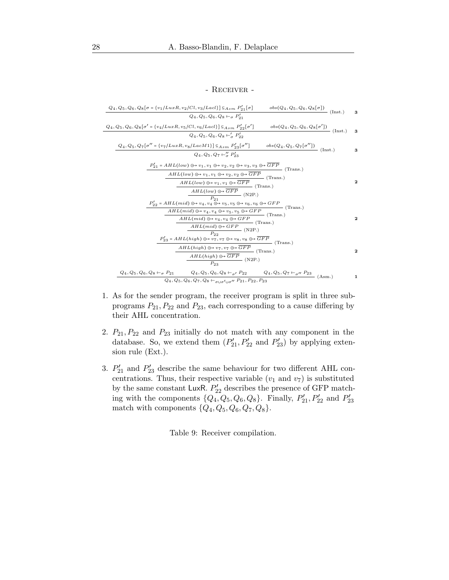#### - Receiver -

<span id="page-27-0"></span>
$$
Q_{4}, Q_{5}, Q_{6}, Q_{8}[\sigma = \{v_{1}/LuxR, v_{2}/Cl, v_{3}/LacI\}] \subseteq_{Asm} P'_{21}[\sigma] \qquad \text{obs}(Q_{4}, Q_{5}, Q_{6}, Q_{8}[\sigma]) \qquad \text{(Inst.)} \qquad 3
$$
\n
$$
Q_{4}, Q_{5}, Q_{6}, Q_{8}[\sigma' = \{v_{4}/LuxR, v_{5}/Cl, v_{6}/LacI\}] \subseteq_{Asm} P'_{22}[\sigma'] \qquad \text{obs}(Q_{4}, Q_{5}, Q_{6}, Q_{8}[\sigma']) \qquad \text{(Inst.)} \qquad 3
$$
\n
$$
Q_{4}, Q_{5}, Q_{7}[\sigma'' = \{v_{7}/LuxR, v_{5}/LacM1\}] \subseteq_{Asm} P'_{23}[\sigma''] \qquad \text{obs}(Q_{4}, Q_{5}, Q_{7}[\sigma'']) \qquad \text{(Inst.)} \qquad 3
$$
\n
$$
\frac{Q_{4}, Q_{5}, Q_{7}[\sigma'' = \{v_{7}/LuxR, v_{8}/LacM1\}] \subseteq_{Asm} P'_{23}[\sigma''] \qquad \text{obs}(Q_{4}, Q_{5}, Q_{7}[\sigma'']) \qquad \text{(Inst.)} \qquad 3
$$
\n
$$
\frac{P'_{21}}{Q_{4}, Q_{5}, Q_{7} \leftarrow_{\sigma} P'_{23} \qquad \text{(That.)} \qquad 3
$$
\n
$$
\frac{P'_{21}}{Q_{4}, Q_{5}, Q_{7} \leftarrow_{\sigma} P'_{23} \qquad \text{(Hats.)} \qquad 4
$$
\n
$$
\frac{HIL(low) \Theta \rightarrow v_{1}, v_{1} \Theta \rightarrow v_{2}, v_{2} \Theta \rightarrow v_{3}, v_{3} \Theta \rightarrow \overline{GFP}}{\Delta{FP}} \qquad \text{(Trans.)}
$$
\n
$$
\frac{AHL(low) \Theta \rightarrow v_{4}, v_{4} \Theta \rightarrow v_{5}, v_{5} \Theta \rightarrow v_{6}, v_{6} \Theta \rightarrow GFP}{P_{4,2}} \qquad \text{(Trans.)}
$$
\n
$$
\frac{AHL(mid) \Theta \rightarrow v_{4}, v_{4} \Theta \rightarrow v_{5}, v_{5} \Theta \rightarrow GFP}{Q_{4,2}} \qquad \text{(Trans.)}
$$
\n
$$
\frac{AHL(high
$$

- 1. As for the sender program, the receiver program is split in three subprograms  $P_{21}$ ,  $P_{22}$  and  $P_{23}$ , each corresponding to a cause differing by their AHL concentration.
- 2.  $P_{21}, P_{22}$  and  $P_{23}$  initially do not match with any component in the database. So, we extend them  $(P'_{21}, P'_{22} \text{ and } P'_{23})$  by applying extension rule (Ext.).
- 3.  $P'_{21}$  and  $P'_{23}$  describe the same behaviour for two different AHL concentrations. Thus, their respective variable  $(v_1 \text{ and } v_7)$  is substituted by the same constant LuxR.  $P'_{22}$  describes the presence of GFP matching with the components  $\{Q_4, Q_5, Q_6, Q_8\}$ . Finally,  $P'_{21}, P'_{22}$  and  $P'_{23}$ match with components  $\{Q_4, Q_5, Q_6, Q_7, Q_8\}.$

Table 9: Receiver compilation.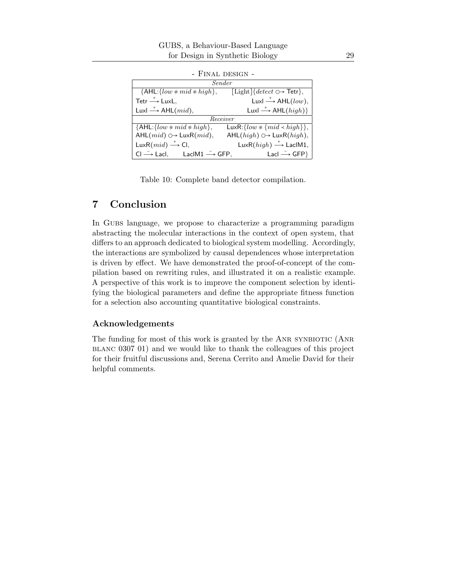<span id="page-28-0"></span>

| Sender                                                   |                                                                 |  |
|----------------------------------------------------------|-----------------------------------------------------------------|--|
| ${AHL:} \{low \ast mid \ast high\},\$                    | $[\text{Light}]$ { $detect \bigcirc \rightarrow \text{Tetr}$ }, |  |
| Tetr $\xrightarrow{+}$ LuxL,                             | Luxl $\stackrel{+}{\longrightarrow}$ AHL(low),                  |  |
| Luxl $\stackrel{+}{\longrightarrow}$ AHL $(mid)$ ,       | Luxl $\stackrel{+}{\longrightarrow}$ AHL $(high)$ }             |  |
| Receiver                                                 |                                                                 |  |
| $\overline{\{AHL:\{low \ast mid \ast high\}},\}$         | LuxR: {low $\ast$ { $\overline{mid \times high}$ },             |  |
| $AHL(mid) \odot \rightarrow LuxR(mid),$                  | AHL $(high) \bigcirc \rightarrow$ LuxR $(high)$ ,               |  |
| LuxR $(mid) \longrightarrow$ Cl,                         | LuxR( $high$ ) $\stackrel{+}{\longrightarrow}$ LaclM1,          |  |
| $CI \longrightarrow$ Lacl, LaclM1 $\longrightarrow$ GFP, | Lacl $\xrightarrow{\mathsf{C}}$ GFP}                            |  |

- Final design -

Table 10: Complete band detector compilation.

# 7 Conclusion

In Gubs language, we propose to characterize a programming paradigm abstracting the molecular interactions in the context of open system, that differs to an approach dedicated to biological system modelling. Accordingly, the interactions are symbolized by causal dependences whose interpretation is driven by effect. We have demonstrated the proof-of-concept of the compilation based on rewriting rules, and illustrated it on a realistic example. A perspective of this work is to improve the component selection by identifying the biological parameters and define the appropriate fitness function for a selection also accounting quantitative biological constraints.

#### Acknowledgements

The funding for most of this work is granted by the ANR SYNBIOTIC (ANR blanc 0307 01) and we would like to thank the colleagues of this project for their fruitful discussions and, Serena Cerrito and Amelie David for their helpful comments.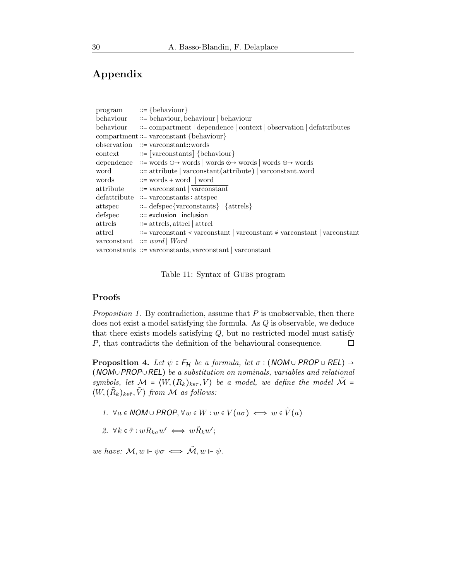# Appendix

| program                                                | $ ::= \{behaviour\}$                                                                  |
|--------------------------------------------------------|---------------------------------------------------------------------------------------|
| behaviour                                              | $\equiv$ behaviour, behaviour   behaviour                                             |
| behaviour                                              | $\equiv$ compartment   dependence   context   observation   defattributes             |
|                                                        | compartment ::= varconstant {behaviour}                                               |
| observation                                            | $\mathrel{::}=$ varconstant: words                                                    |
| context                                                | ::= [varconstants] {behaviour}                                                        |
| dependence                                             | :≔ words $\circ$ → words   words $\circ$ → words   words $\oplus$ → words             |
| word                                                   | := attribute   varconstant(attribute)   varconstant.word                              |
| words                                                  | $ ::=$ words + word   word                                                            |
| $\rm{attribute}$                                       | $::=$ varconstant $\sqrt{\text{vaconstant}}$                                          |
| defattribute                                           | $\mathrel{::=}$ varconstants : attspec                                                |
| attspec                                                | $ ::= \text{defspec} \{ \text{varconstants} \}   \{ \text{attrels} \}$                |
| $\mathbf{def}\mathbf{s}\mathbf{p}\mathbf{e}\mathbf{c}$ | $ ::=$ exclusion $ $ inclusion                                                        |
| $\mathrm{attrels}$                                     | $ ::=$ attrels, attrel   attrel                                                       |
| $\rm attrel$                                           | $\mathcal{L}$ = varconstant < varconstant   varconstant $*$ varconstant   varconstant |
|                                                        | varconstant $\equiv word \mid Word$                                                   |
|                                                        | varconstants :≔ varconstants, varconstant   varconstant                               |
|                                                        |                                                                                       |

Table 11: Syntax of GUBS program

### Proofs

*Proposition [1.](#page-15-1)* By contradiction, assume that P is unobservable, then there does not exist a model satisfying the formula. As Q is observable, we deduce that there exists models satisfying  $Q$ , but no restricted model must satisfy P, that contradicts the definition of the behavioural consequence.  $\Box$ 

<span id="page-29-2"></span>**Proposition 4.** *Let*  $\psi \in F_H$  *be a formula, let*  $\sigma : (NOM \cup PROP \cup REL) \rightarrow$ (NOM∪PROP∪REL) *be a substitution on nominals, variables and relational symbols, let*  $M = \langle W, (R_k)_{k \in \tau}, V \rangle$  *be a model, we define the model*  $\tilde{M} =$  $\langle W, (\tilde{R}_k)_{k \in \tilde{\tau}}, \tilde{V} \rangle$  from M as follows:

- <span id="page-29-1"></span><span id="page-29-0"></span>*1.*  $\forall a \in \text{NOM} \cup \text{PROP}, \forall w \in W : w \in V(a \sigma) \iff w \in \tilde{V}(a)$
- 2.  $\forall k \in \tilde{\tau} : wR_{k\sigma}w' \iff w\tilde{R}_k w';$

*we have:*  $M, w \Vdash \psi \sigma \iff \tilde{M}, w \Vdash \psi$ .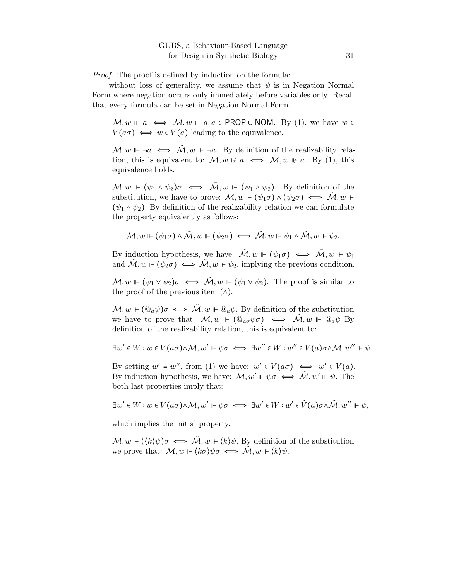*Proof.* The proof is defined by induction on the formula:

without loss of generality, we assume that  $\psi$  is in Negation Normal Form where negation occurs only immediately before variables only. Recall that every formula can be set in Negation Normal Form.

 $\mathcal{M}, w \Vdash a \iff \tilde{\mathcal{M}}, w \Vdash a, a \in \mathsf{PROP} \cup \mathsf{NOM}.$  By [\(1\)](#page-29-0), we have  $w \in \mathsf{C}$  $V(a\sigma) \iff w \in \tilde{V}(a)$  leading to the equivalence.

 $\mathcal{M}, w \Vdash \neg a \iff \tilde{\mathcal{M}}, w \Vdash \neg a$ . By definition of the realizability relation, this is equivalent to:  $\mathcal{M}, w \not\vDash a \iff \mathcal{M}, w \not\vDash a$ . By [\(1\)](#page-29-0), this equivalence holds.

 $\mathcal{M}, w \vDash (\psi_1 \wedge \psi_2) \sigma \iff \tilde{\mathcal{M}}, w \vDash (\psi_1 \wedge \psi_2)$ . By definition of the substitution, we have to prove:  $\mathcal{M}, w \Vdash (\psi_1 \sigma) \wedge (\psi_2 \sigma) \iff \mathcal{M}, w \Vdash$  $(\psi_1 \wedge \psi_2)$ . By definition of the realizability relation we can formulate the property equivalently as follows:

$$
\mathcal{M},w\Vdash(\psi_1\sigma)\wedge\tilde{\mathcal{M}},w\Vdash(\psi_2\sigma)\iff\tilde{\mathcal{M}},w\Vdash\psi_1\wedge\tilde{\mathcal{M}},w\Vdash\psi_2.
$$

By induction hypothesis, we have:  $\tilde{\mathcal{M}}$ ,  $w \Vdash (\psi_1 \sigma) \iff \tilde{\mathcal{M}}$ ,  $w \Vdash \psi_1$ and  $\tilde{\mathcal{M}}, w \Vdash (\psi_2 \sigma) \iff \tilde{\mathcal{M}}, w \Vdash \psi_2$ , implying the previous condition.

 $\mathcal{M}, w \Vdash (\psi_1 \vee \psi_2) \sigma \iff \tilde{\mathcal{M}}, w \Vdash (\psi_1 \vee \psi_2)$ . The proof is similar to the proof of the previous item  $(\wedge)$ .

 $\mathcal{M}, w \Vdash (\mathbb{Q}_a \psi) \sigma \iff \tilde{\mathcal{M}}, w \Vdash \mathbb{Q}_a \psi$ . By definition of the substitution we have to prove that:  $\mathcal{M}, w \Vdash (\mathbb{Q}_{a\sigma}\psi\sigma) \iff \mathcal{M}, w \Vdash \mathbb{Q}_{a}\psi$  By definition of the realizability relation, this is equivalent to:

$$
\exists w' \in W : w \in V(a\sigma) \land \mathcal{M}, w' \Vdash \psi\sigma \iff \exists w'' \in W : w'' \in \tilde{V}(a)\sigma \land \tilde{\mathcal{M}}, w'' \Vdash \psi.
$$

By setting  $w' = w''$ , from [\(1\)](#page-29-0) we have:  $w' \in V(a\sigma) \iff w' \in V(a)$ . By induction hypothesis, we have:  $\mathcal{M}, w' \Vdash \psi \sigma \iff \tilde{\mathcal{M}}, w' \Vdash \psi$ . The both last properties imply that:

$$
\exists w' \in W : w \in V(a\sigma) \land \mathcal{M}, w' \Vdash \psi\sigma \iff \exists w' \in W : w' \in \tilde{V}(a)\sigma \land \tilde{\mathcal{M}}, w'' \Vdash \psi,
$$

which implies the initial property.

 $\mathcal{M}, w \Vdash (\langle k \rangle \psi) \sigma \iff \tilde{\mathcal{M}}, w \Vdash \langle k \rangle \psi$ . By definition of the substitution we prove that:  $\mathcal{M}, w \Vdash \langle k \sigma \rangle \psi \sigma \iff \tilde{\mathcal{M}}, w \Vdash \langle k \rangle \psi.$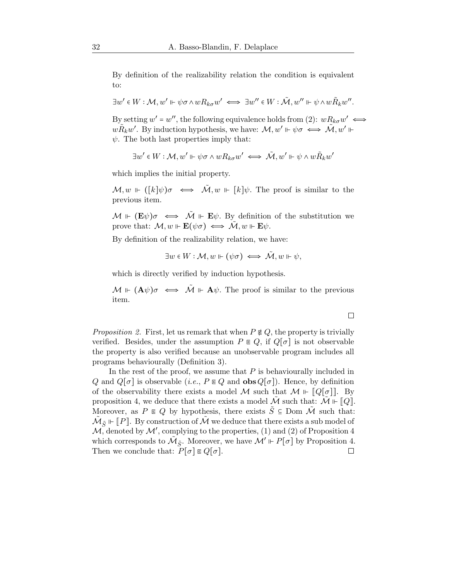By definition of the realizability relation the condition is equivalent to:

$$
\exists w' \in W: \mathcal{M}, w' \Vdash \psi \sigma \wedge w R_{k\sigma} w' \iff \exists w'' \in W: \tilde{\mathcal{M}}, w'' \Vdash \psi \wedge w \tilde{R}_k w''.
$$

By setting  $w' = w''$ , the following equivalence holds from [\(2\)](#page-29-1):  $wR_{k\sigma}w' \iff$  $w\tilde{R}_k w'$ . By induction hypothesis, we have:  $\mathcal{M}, w' \Vdash \psi \sigma \iff \tilde{\mathcal{M}}, w' \Vdash$  $\psi$ . The both last properties imply that:

$$
\exists w'\in W:\mathcal{M},w'\Vdash\psi\sigma\wedge wR_{k\sigma}w'\iff\tilde{\mathcal{M}},w'\Vdash\psi\wedge w\tilde{R}_kw'
$$

which implies the initial property.

 $\mathcal{M}, w \vDash (k|\psi)\sigma \iff \tilde{\mathcal{M}}, w \vDash [k]\psi$ . The proof is similar to the previous item.

 $\mathcal{M} \Vdash (\mathbf{E}\psi)\sigma \iff \tilde{\mathcal{M}} \Vdash \mathbf{E}\psi$ . By definition of the substitution we prove that:  $\mathcal{M}, w \Vdash \mathbf{E}(\psi \sigma) \iff \tilde{\mathcal{M}}, w \Vdash \mathbf{E} \psi$ .

By definition of the realizability relation, we have:

$$
\exists w \in W : \mathcal{M}, w \Vdash (\psi \sigma) \iff \tilde{\mathcal{M}}, w \Vdash \psi,
$$

which is directly verified by induction hypothesis.

 $\mathcal{M} \Vdash (\mathbf{A}\psi)\sigma \iff \tilde{\mathcal{M}} \Vdash \mathbf{A}\psi$ . The proof is similar to the previous item.

 $\Box$ 

*Proposition* [2.](#page-16-1) First, let us remark that when  $P \notin Q$ , the property is trivially verified. Besides, under the assumption  $P \in Q$ , if  $Q[\sigma]$  is not observable the property is also verified because an unobservable program includes all programs behaviourally (Definition [3\)](#page-14-1).

In the rest of the proof, we assume that  $P$  is behaviourally included in Q and  $Q[\sigma]$  is observable (*i.e.*,  $P \in Q$  and  $\mathbf{obs}Q[\sigma]$ ). Hence, by definition of the observability there exists a model M such that  $M \Vdash \llbracket Q[\sigma] \rrbracket$ . By proposition [4,](#page-29-2) we deduce that there exists a model  $\tilde{\mathcal{M}}$  such that:  $\tilde{\mathcal{M}} \Vdash \llbracket Q \rrbracket$ . Moreover, as  $P \in Q$  by hypothesis, there exists  $\tilde{S} \subseteq$  Dom  $\tilde{\mathcal{M}}$  such that:  $\tilde{\mathcal{M}}_{\tilde{S}} \Vdash \llbracket P \rrbracket.$  By construction of  $\tilde{\mathcal{M}}$  we deduce that there exists a sub model of  $\mathcal{M}$ , denoted by  $\mathcal{M}'$ , complying to the properties, [\(1\)](#page-29-0) and [\(2\)](#page-29-1) of Proposition [4](#page-29-2) which corresponds to  $\tilde{M}_{\tilde{S}}$ . Moreover, we have  $\mathcal{M}' \Vdash P[\sigma]$  by Proposition [4.](#page-29-2) Then we conclude that:  $P[\sigma] \in Q[\sigma]$ .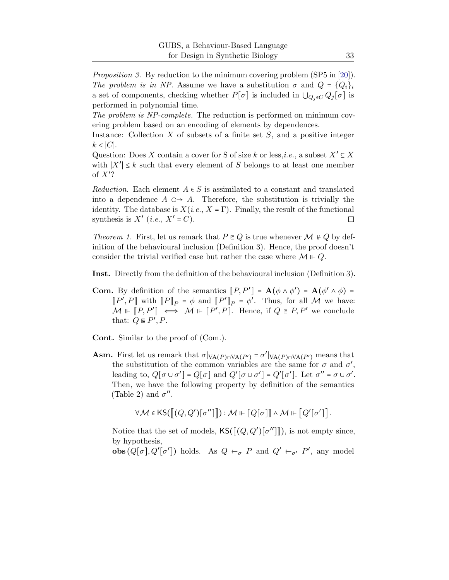*Proposition [3.](#page-18-1)* By reduction to the minimum covering problem (SP5 in [\[20\]](#page-35-8)). *The problem is in NP.* Assume we have a substitution  $\sigma$  and  $Q = \{Q_i\}_i$ a set of components, checking whether  $P[\sigma]$  is included in  $\bigcup_{Q_i \in C} Q_i[\sigma]$  is performed in polynomial time.

*The problem is NP-complete.* The reduction is performed on minimum covering problem based on an encoding of elements by dependences.

Instance: Collection  $X$  of subsets of a finite set  $S$ , and a positive integer k < ∣C∣.

Question: Does X contain a cover for S of size k or less,*i.e.*, a subset  $X' \subseteq X$ with  $|X'| \leq k$  such that every element of S belongs to at least one member of  $X$ ?

*Reduction.* Each element  $A \in S$  is assimilated to a constant and translated into a dependence  $A \nightharpoonup A$ . Therefore, the substitution is trivially the identity. The database is  $X(i.e., X = \Gamma)$ . Finally, the result of the functional synthesis is  $X'$  (*i.e.*,  $X' = C$ ).  $\Box$ 

*Theorem [1.](#page-17-2)* First, let us remark that  $P \in Q$  is true whenever  $M \not\vdash Q$  by definition of the behavioural inclusion (Definition [3\)](#page-14-1). Hence, the proof doesn't consider the trivial verified case but rather the case where  $\mathcal{M} \Vdash Q$ .

Inst. Directly from the definition of the behavioural inclusion (Definition [3\)](#page-14-1).

**Com.** By definition of the semantics  $[P, P'] = \mathbf{A}(\phi \wedge \phi') = \mathbf{A}(\phi' \wedge \phi) =$  $[P', P]$  with  $[P]_P = \phi$  and  $[P']_P = \phi'$ . Thus, for all M we have:  $\mathcal{M} \Vdash [P, P'] \iff \mathcal{M} \Vdash [P', P]$ . Hence, if  $Q \in P, P'$  we conclude that:  $Q \in P', P$ .

Cont. Similar to the proof of (Com.).

**Asm.** First let us remark that  $\sigma|_{VA(P) \cap VA(P')} = \sigma'|_{VA(P) \cap VA(P')}$  means that the substitution of the common variables are the same for  $\sigma$  and  $\sigma'$ , leading to,  $Q[\sigma \cup \sigma'] = Q[\sigma]$  and  $Q'[\sigma \cup \sigma'] = Q'[\sigma']$ . Let  $\sigma'' = \sigma \cup \sigma'$ . Then, we have the following property by definition of the semantics (Table [2\)](#page-12-0) and  $\sigma''$ .

 $\forall \mathcal{M} \in {\sf KS}(\c[[Q,Q'][\sigma'']\r]] : \mathcal{M} \Vdash \cbrack\!\lbrack\c c \rbrack\!\rbrack \wedge \mathcal{M} \Vdash \cbrack\!\lbrack\c c' \rbrack\!\rbrack.$ 

Notice that the set of models,  $\mathsf{KS}([\llbracket (Q, Q')[\sigma'']\rrbracket)$ , is not empty since, by hypothesis,

**obs**  $(Q[\sigma], Q'[\sigma'])$  holds. As  $Q \leftarrow_{\sigma} P$  and  $Q' \leftarrow_{\sigma'} P'$ , any model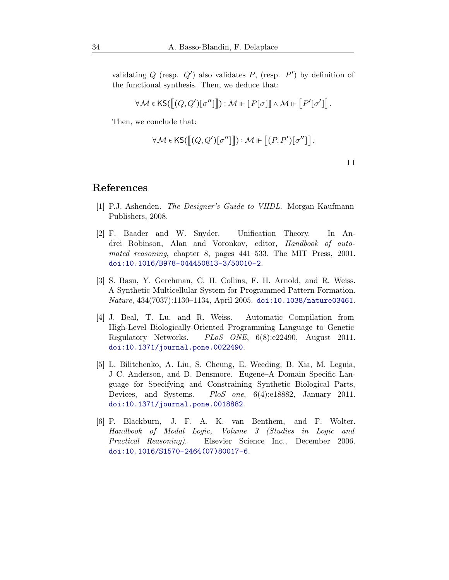validating  $Q$  (resp.  $Q'$ ) also validates  $P$ , (resp.  $P'$ ) by definition of the functional synthesis. Then, we deduce that:

$$
\forall \mathcal{M} \in {\sf KS}(\llbracket (Q,Q')[\sigma''] \rrbracket) : \mathcal{M} \Vdash \llbracket P[\sigma] \rrbracket \wedge \mathcal{M} \Vdash \llbracket P'[\sigma'] \rrbracket.
$$

Then, we conclude that:

$$
\forall \mathcal{M} \in {\sf KS}([\![ (Q, Q')[\![ \sigma'' ]\!] ]\!]) : \mathcal{M} \Vdash [\![ (P, P')[\![ \sigma'' ]\!] ]\!].
$$

 $\Box$ 

### <span id="page-33-1"></span>References

- <span id="page-33-4"></span>[1] P.J. Ashenden. *The Designer's Guide to VHDL*. Morgan Kaufmann Publishers, 2008.
- [2] F. Baader and W. Snyder. Unification Theory. In Andrei Robinson, Alan and Voronkov, editor, *Handbook of automated reasoning*, chapter 8, pages 441–533. The MIT Press, 2001. [doi:10.1016/B978-044450813-3/50010-2](http://dx.doi.org/10.1016/B978-044450813-3/50010-2).
- <span id="page-33-5"></span>[3] S. Basu, Y. Gerchman, C. H. Collins, F. H. Arnold, and R. Weiss. A Synthetic Multicellular System for Programmed Pattern Formation. *Nature*, 434(7037):1130–1134, April 2005. [doi:10.1038/nature03461](http://dx.doi.org/10.1038/nature03461).
- <span id="page-33-2"></span>[4] J. Beal, T. Lu, and R. Weiss. Automatic Compilation from High-Level Biologically-Oriented Programming Language to Genetic Regulatory Networks. *PLoS ONE*, 6(8):e22490, August 2011. [doi:10.1371/journal.pone.0022490](http://dx.doi.org/10.1371/journal.pone.0022490).
- <span id="page-33-0"></span>[5] L. Bilitchenko, A. Liu, S. Cheung, E. Weeding, B. Xia, M. Leguia, J C. Anderson, and D. Densmore. Eugene–A Domain Specific Language for Specifying and Constraining Synthetic Biological Parts, Devices, and Systems. *PloS one*, 6(4):e18882, January 2011. [doi:10.1371/journal.pone.0018882](http://dx.doi.org/10.1371/journal.pone.0018882).
- <span id="page-33-3"></span>[6] P. Blackburn, J. F. A. K. van Benthem, and F. Wolter. *Handbook of Modal Logic, Volume 3 (Studies in Logic and Practical Reasoning)*. Elsevier Science Inc., December 2006. [doi:10.1016/S1570-2464\(07\)80017-6](http://dx.doi.org/10.1016/S1570-2464(07)80017-6).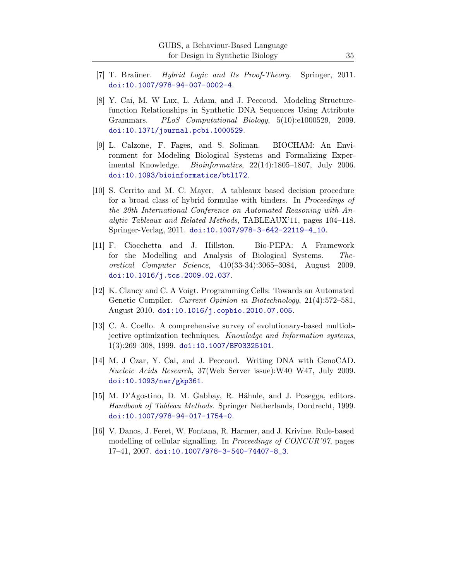- <span id="page-34-6"></span><span id="page-34-2"></span>[7] T. Braüner. *Hybrid Logic and Its Proof-Theory*. Springer, 2011. [doi:10.1007/978-94-007-0002-4](http://dx.doi.org/10.1007/978-94-007-0002-4).
- [8] Y. Cai, M. W Lux, L. Adam, and J. Peccoud. Modeling Structurefunction Relationships in Synthetic DNA Sequences Using Attribute Grammars. *PLoS Computational Biology*, 5(10):e1000529, 2009. [doi:10.1371/journal.pcbi.1000529](http://dx.doi.org/10.1371/journal.pcbi.1000529).
- <span id="page-34-5"></span>[9] L. Calzone, F. Fages, and S. Soliman. BIOCHAM: An Environment for Modeling Biological Systems and Formalizing Experimental Knowledge. *Bioinformatics*, 22(14):1805–1807, July 2006. [doi:10.1093/bioinformatics/btl172](http://dx.doi.org/10.1093/bioinformatics/btl172).
- <span id="page-34-8"></span>[10] S. Cerrito and M. C. Mayer. A tableaux based decision procedure for a broad class of hybrid formulae with binders. In *Proceedings of the 20th International Conference on Automated Reasoning with Analytic Tableaux and Related Methods*, TABLEAUX'11, pages 104–118. Springer-Verlag, 2011. [doi:10.1007/978-3-642-22119-4\\_10](http://dx.doi.org/10.1007/978-3-642-22119-4_10).
- <span id="page-34-4"></span>[11] F. Ciocchetta and J. Hillston. Bio-PEPA: A Framework for the Modelling and Analysis of Biological Systems. *Theoretical Computer Science*, 410(33-34):3065–3084, August 2009. [doi:10.1016/j.tcs.2009.02.037](http://dx.doi.org/10.1016/j.tcs.2009.02.037).
- <span id="page-34-0"></span>[12] K. Clancy and C. A Voigt. Programming Cells: Towards an Automated Genetic Compiler. *Current Opinion in Biotechnology*, 21(4):572–581, August 2010. [doi:10.1016/j.copbio.2010.07.005](http://dx.doi.org/10.1016/j.copbio.2010.07.005).
- <span id="page-34-9"></span>[13] C. A. Coello. A comprehensive survey of evolutionary-based multiobjective optimization techniques. *Knowledge and Information systems*, 1(3):269–308, 1999. [doi:10.1007/BF03325101](http://dx.doi.org/10.1007/BF03325101).
- <span id="page-34-1"></span>[14] M. J Czar, Y. Cai, and J. Peccoud. Writing DNA with GenoCAD. *Nucleic Acids Research*, 37(Web Server issue):W40–W47, July 2009. [doi:10.1093/nar/gkp361](http://dx.doi.org/10.1093/nar/gkp361).
- <span id="page-34-7"></span>[15] M. D'Agostino, D. M. Gabbay, R. Hähnle, and J. Posegga, editors. *Handbook of Tableau Methods*. Springer Netherlands, Dordrecht, 1999. [doi:10.1007/978-94-017-1754-0](http://dx.doi.org/10.1007/978-94-017-1754-0).
- <span id="page-34-3"></span>[16] V. Danos, J. Feret, W. Fontana, R. Harmer, and J. Krivine. Rule-based modelling of cellular signalling. In *Proceedings of CONCUR'07*, pages 17–41, 2007. [doi:10.1007/978-3-540-74407-8\\_3](http://dx.doi.org/10.1007/978-3-540-74407-8_3).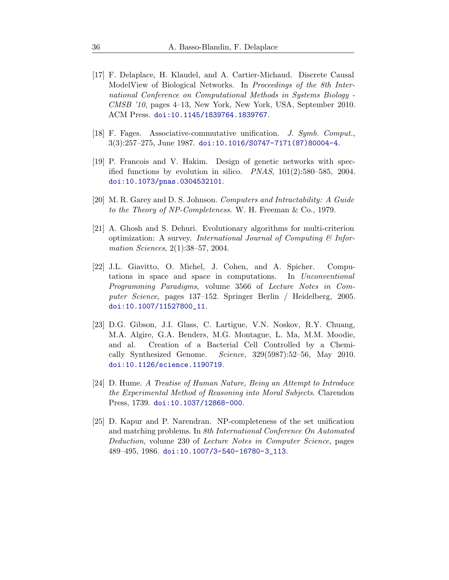- <span id="page-35-2"></span>[17] F. Delaplace, H. Klaudel, and A. Cartier-Michaud. Discrete Causal ModelView of Biological Networks. In *Proceedings of the 8th International Conference on Computational Methods in Systems Biology - CMSB '10*, pages 4–13, New York, New York, USA, September 2010. ACM Press. [doi:10.1145/1839764.1839767](http://dx.doi.org/10.1145/1839764.1839767).
- <span id="page-35-7"></span><span id="page-35-6"></span>[18] F. Fages. Associative-commutative unification. *J. Symb. Comput.*, 3(3):257–275, June 1987. [doi:10.1016/S0747-7171\(87\)80004-4](http://dx.doi.org/10.1016/S0747-7171(87)80004-4).
- [19] P. Francois and V. Hakim. Design of genetic networks with specified functions by evolution in silico. *PNAS*, 101(2):580–585, 2004. [doi:10.1073/pnas.0304532101](http://dx.doi.org/10.1073/pnas.0304532101).
- <span id="page-35-8"></span><span id="page-35-4"></span>[20] M. R. Garey and D. S. Johnson. *Computers and Intractability: A Guide to the Theory of NP-Completeness*. W. H. Freeman & Co., 1979.
- [21] A. Ghosh and S. Dehuri. Evolutionary algorithms for multi-criterion optimization: A survey. *International Journal of Computing & Information Sciences*, 2(1):38–57, 2004.
- <span id="page-35-1"></span>[22] J.L. Giavitto, O. Michel, J. Cohen, and A. Spicher. Computations in space and space in computations. In *Unconventional Programming Paradigms*, volume 3566 of *Lecture Notes in Computer Science*, pages 137–152. Springer Berlin / Heidelberg, 2005. [doi:10.1007/11527800\\_11](http://dx.doi.org/10.1007/11527800_11).
- <span id="page-35-0"></span>[23] D.G. Gibson, J.I. Glass, C. Lartigue, V.N. Noskov, R.Y. Chuang, M.A. Algire, G.A. Benders, M.G. Montague, L. Ma, M.M. Moodie, and al. Creation of a Bacterial Cell Controlled by a Chemically Synthesized Genome. *Science*, 329(5987):52–56, May 2010. [doi:10.1126/science.1190719](http://dx.doi.org/10.1126/science.1190719).
- <span id="page-35-3"></span>[24] D. Hume. *A Treatise of Human Nature, Being an Attempt to Introduce the Experimental Method of Reasoning into Moral Subjects*. Clarendon Press, 1739. [doi:10.1037/12868-000](http://dx.doi.org/10.1037/12868-000).
- <span id="page-35-5"></span>[25] D. Kapur and P. Narendran. NP-completeness of the set unification and matching problems. In *8th International Conference On Automated Deduction*, volume 230 of *Lecture Notes in Computer Science*, pages 489–495, 1986. [doi:10.1007/3-540-16780-3\\_113](http://dx.doi.org/10.1007/3-540-16780-3_113).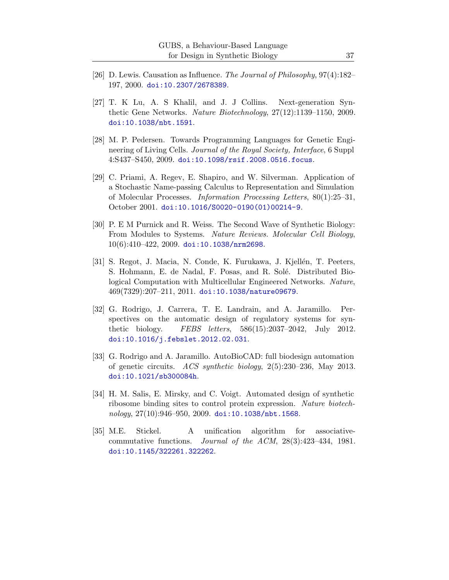- <span id="page-36-5"></span><span id="page-36-1"></span>[26] D. Lewis. Causation as Influence. *The Journal of Philosophy*, 97(4):182– 197, 2000. [doi:10.2307/2678389](http://dx.doi.org/10.2307/2678389).
- [27] T. K Lu, A. S Khalil, and J. J Collins. Next-generation Synthetic Gene Networks. *Nature Biotechnology*, 27(12):1139–1150, 2009. [doi:10.1038/nbt.1591](http://dx.doi.org/10.1038/nbt.1591).
- <span id="page-36-3"></span>[28] M. P. Pedersen. Towards Programming Languages for Genetic Engineering of Living Cells. *Journal of the Royal Society, Interface*, 6 Suppl 4:S437–S450, 2009. [doi:10.1098/rsif.2008.0516.focus](http://dx.doi.org/10.1098/rsif.2008.0516.focus).
- <span id="page-36-4"></span>[29] C. Priami, A. Regev, E. Shapiro, and W. Silverman. Application of a Stochastic Name-passing Calculus to Representation and Simulation of Molecular Processes. *Information Processing Letters*, 80(1):25–31, October 2001. [doi:10.1016/S0020-0190\(01\)00214-9](http://dx.doi.org/10.1016/S0020-0190(01)00214-9).
- <span id="page-36-0"></span>[30] P. E M Purnick and R. Weiss. The Second Wave of Synthetic Biology: From Modules to Systems. *Nature Reviews. Molecular Cell Biology*, 10(6):410–422, 2009. [doi:10.1038/nrm2698](http://dx.doi.org/10.1038/nrm2698).
- <span id="page-36-2"></span>[31] S. Regot, J. Macia, N. Conde, K. Furukawa, J. Kjellén, T. Peeters, S. Hohmann, E. de Nadal, F. Posas, and R. Solé. Distributed Biological Computation with Multicellular Engineered Networks. *Nature*, 469(7329):207–211, 2011. [doi:10.1038/nature09679](http://dx.doi.org/10.1038/nature09679).
- <span id="page-36-9"></span>[32] G. Rodrigo, J. Carrera, T. E. Landrain, and A. Jaramillo. Perspectives on the automatic design of regulatory systems for synthetic biology. *FEBS letters*, 586(15):2037–2042, July 2012. [doi:10.1016/j.febslet.2012.02.031](http://dx.doi.org/10.1016/j.febslet.2012.02.031).
- <span id="page-36-8"></span>[33] G. Rodrigo and A. Jaramillo. AutoBioCAD: full biodesign automation of genetic circuits. *ACS synthetic biology*, 2(5):230–236, May 2013. [doi:10.1021/sb300084h](http://dx.doi.org/10.1021/sb300084h).
- <span id="page-36-7"></span>[34] H. M. Salis, E. Mirsky, and C. Voigt. Automated design of synthetic ribosome binding sites to control protein expression. *Nature biotechnology*, 27(10):946–950, 2009. [doi:10.1038/nbt.1568](http://dx.doi.org/10.1038/nbt.1568).
- <span id="page-36-6"></span>[35] M.E. Stickel. A unification algorithm for associativecommutative functions. *Journal of the ACM*, 28(3):423–434, 1981. [doi:10.1145/322261.322262](http://dx.doi.org/10.1145/322261.322262).